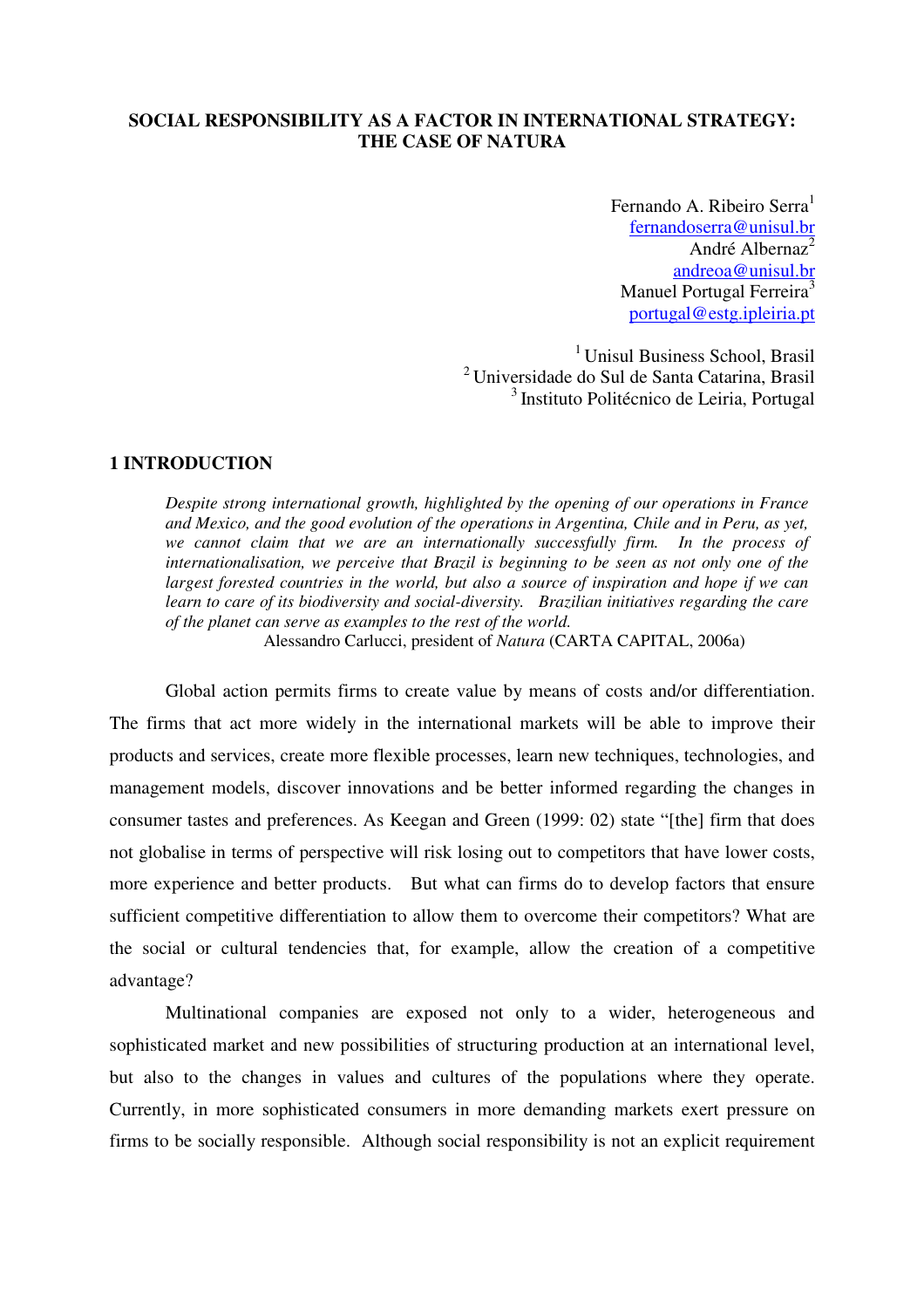# **SOCIAL RESPONSIBILITY AS A FACTOR IN INTERNATIONAL STRATEGY: THE CASE OF NATURA**

Fernando A. Ribeiro Serra $<sup>1</sup>$ </sup> fernandoserra@unisul.br André Albernaz<sup>2</sup> andreoa@unisul.br Manuel Portugal Ferreira<sup>3</sup> portugal@estg.ipleiria.pt

<sup>1</sup> Unisul Business School, Brasil <sup>2</sup>Universidade do Sul de Santa Catarina, Brasil <sup>3</sup> Instituto Politécnico de Leiria, Portugal

## **1 INTRODUCTION**

*Despite strong international growth, highlighted by the opening of our operations in France and Mexico, and the good evolution of the operations in Argentina, Chile and in Peru, as yet, we cannot claim that we are an internationally successfully firm. In the process of internationalisation, we perceive that Brazil is beginning to be seen as not only one of the largest forested countries in the world, but also a source of inspiration and hope if we can learn to care of its biodiversity and social-diversity. Brazilian initiatives regarding the care of the planet can serve as examples to the rest of the world.* 

Alessandro Carlucci, president of *Natura* (CARTA CAPITAL, 2006a)

Global action permits firms to create value by means of costs and/or differentiation. The firms that act more widely in the international markets will be able to improve their products and services, create more flexible processes, learn new techniques, technologies, and management models, discover innovations and be better informed regarding the changes in consumer tastes and preferences. As Keegan and Green (1999: 02) state "[the] firm that does not globalise in terms of perspective will risk losing out to competitors that have lower costs, more experience and better products. But what can firms do to develop factors that ensure sufficient competitive differentiation to allow them to overcome their competitors? What are the social or cultural tendencies that, for example, allow the creation of a competitive advantage?

Multinational companies are exposed not only to a wider, heterogeneous and sophisticated market and new possibilities of structuring production at an international level, but also to the changes in values and cultures of the populations where they operate. Currently, in more sophisticated consumers in more demanding markets exert pressure on firms to be socially responsible. Although social responsibility is not an explicit requirement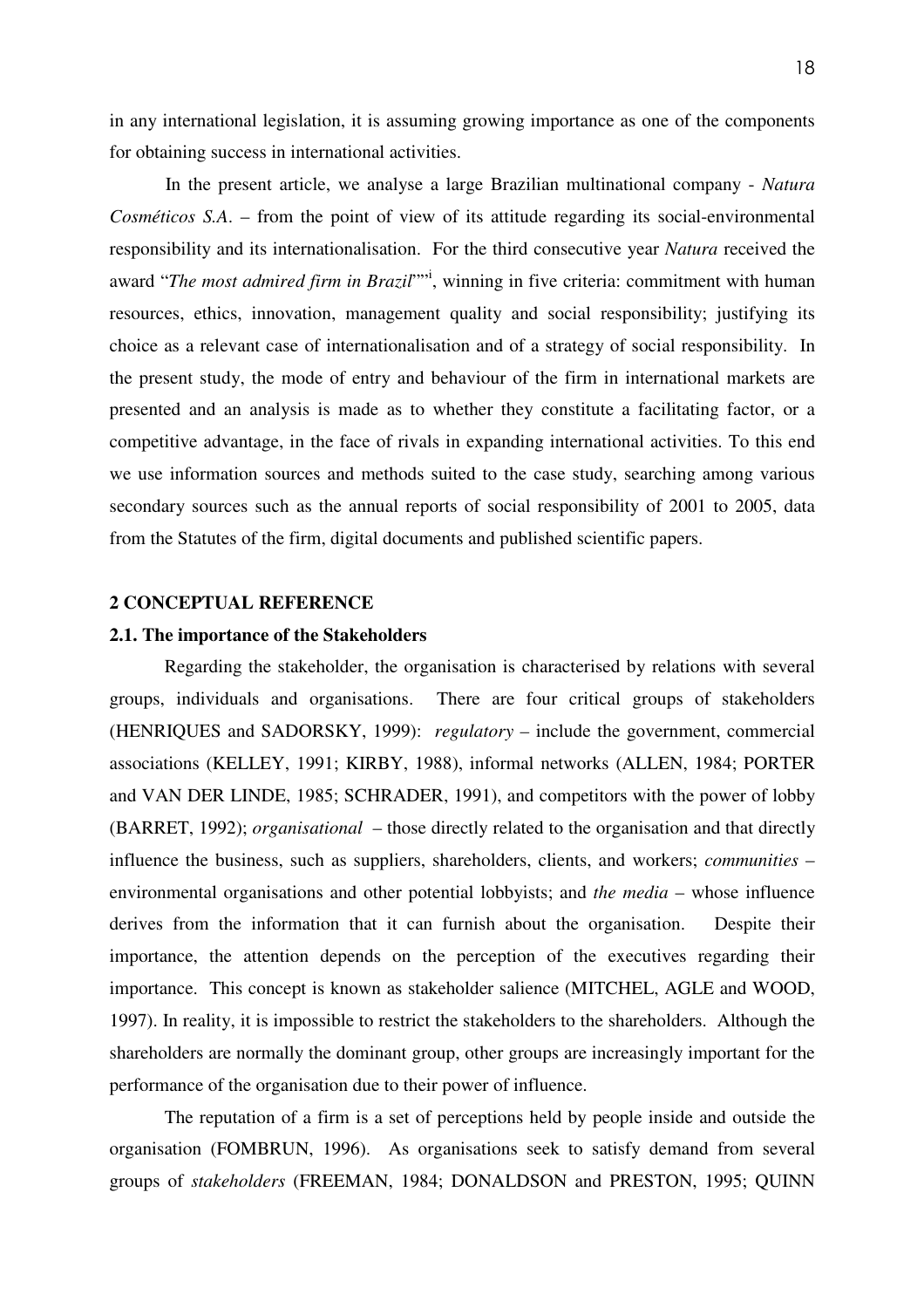in any international legislation, it is assuming growing importance as one of the components for obtaining success in international activities.

In the present article, we analyse a large Brazilian multinational company - *Natura Cosméticos S.A*. – from the point of view of its attitude regarding its social-environmental responsibility and its internationalisation. For the third consecutive year *Natura* received the award "The most admired firm in Brazil"<sup>",</sup> winning in five criteria: commitment with human resources, ethics, innovation, management quality and social responsibility; justifying its choice as a relevant case of internationalisation and of a strategy of social responsibility. In the present study, the mode of entry and behaviour of the firm in international markets are presented and an analysis is made as to whether they constitute a facilitating factor, or a competitive advantage, in the face of rivals in expanding international activities. To this end we use information sources and methods suited to the case study, searching among various secondary sources such as the annual reports of social responsibility of 2001 to 2005, data from the Statutes of the firm, digital documents and published scientific papers.

# **2 CONCEPTUAL REFERENCE**

## **2.1. The importance of the Stakeholders**

 Regarding the stakeholder, the organisation is characterised by relations with several groups, individuals and organisations. There are four critical groups of stakeholders (HENRIQUES and SADORSKY, 1999): *regulatory –* include the government, commercial associations (KELLEY, 1991; KIRBY, 1988), informal networks (ALLEN, 1984; PORTER and VAN DER LINDE, 1985; SCHRADER, 1991), and competitors with the power of lobby (BARRET, 1992); *organisational* – those directly related to the organisation and that directly influence the business, such as suppliers, shareholders, clients, and workers; *communities* – environmental organisations and other potential lobbyists; and *the media* – whose influence derives from the information that it can furnish about the organisation. Despite their importance, the attention depends on the perception of the executives regarding their importance. This concept is known as stakeholder salience (MITCHEL, AGLE and WOOD, 1997). In reality, it is impossible to restrict the stakeholders to the shareholders. Although the shareholders are normally the dominant group, other groups are increasingly important for the performance of the organisation due to their power of influence.

 The reputation of a firm is a set of perceptions held by people inside and outside the organisation (FOMBRUN, 1996). As organisations seek to satisfy demand from several groups of *stakeholders* (FREEMAN, 1984; DONALDSON and PRESTON, 1995; QUINN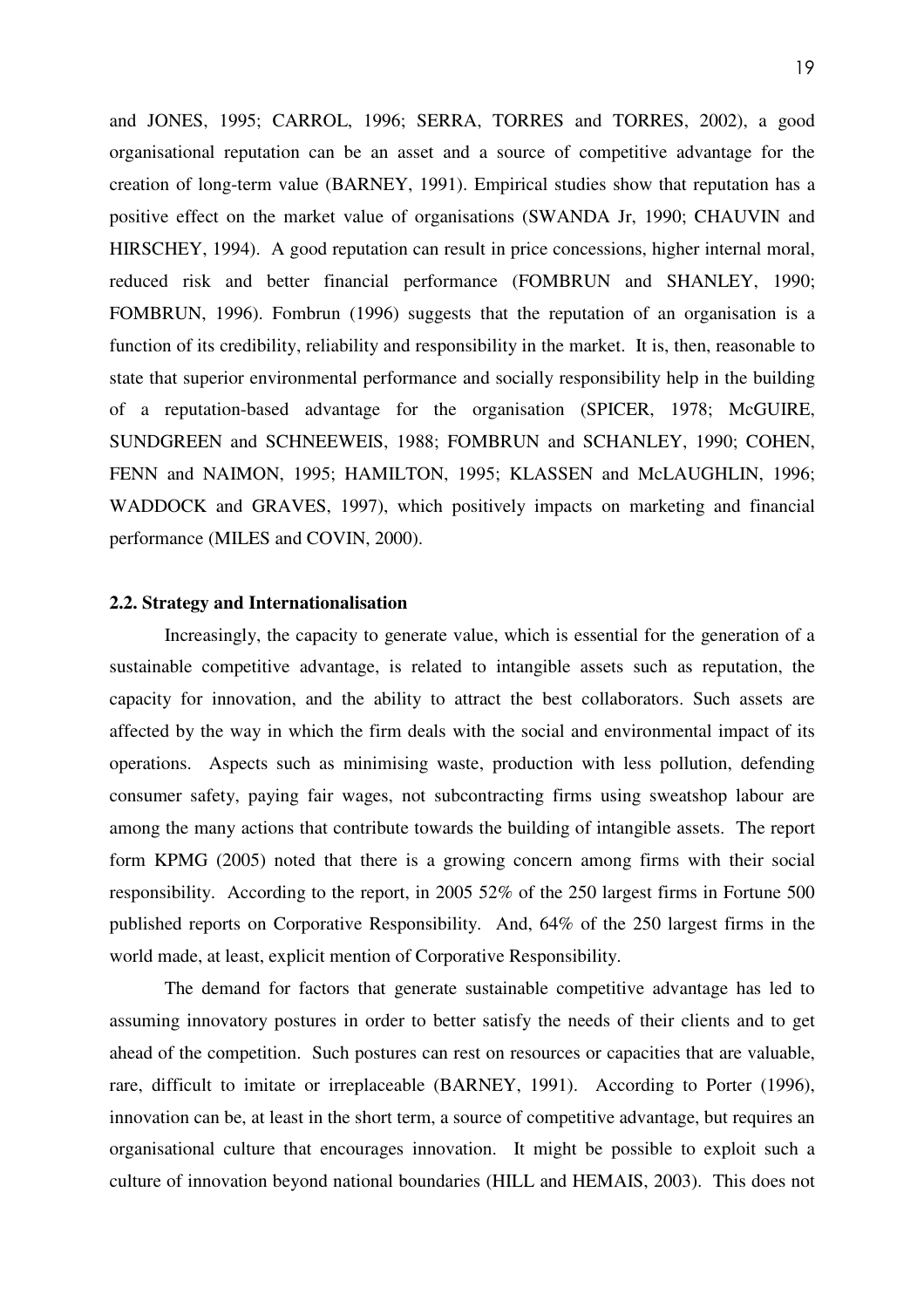and JONES, 1995; CARROL, 1996; SERRA, TORRES and TORRES, 2002), a good organisational reputation can be an asset and a source of competitive advantage for the creation of long-term value (BARNEY, 1991). Empirical studies show that reputation has a positive effect on the market value of organisations (SWANDA Jr, 1990; CHAUVIN and HIRSCHEY, 1994). A good reputation can result in price concessions, higher internal moral, reduced risk and better financial performance (FOMBRUN and SHANLEY, 1990; FOMBRUN, 1996). Fombrun (1996) suggests that the reputation of an organisation is a function of its credibility, reliability and responsibility in the market. It is, then, reasonable to state that superior environmental performance and socially responsibility help in the building of a reputation-based advantage for the organisation (SPICER, 1978; McGUIRE, SUNDGREEN and SCHNEEWEIS, 1988; FOMBRUN and SCHANLEY, 1990; COHEN, FENN and NAIMON, 1995; HAMILTON, 1995; KLASSEN and McLAUGHLIN, 1996; WADDOCK and GRAVES, 1997), which positively impacts on marketing and financial performance (MILES and COVIN, 2000).

# **2.2. Strategy and Internationalisation**

Increasingly, the capacity to generate value, which is essential for the generation of a sustainable competitive advantage, is related to intangible assets such as reputation, the capacity for innovation, and the ability to attract the best collaborators. Such assets are affected by the way in which the firm deals with the social and environmental impact of its operations. Aspects such as minimising waste, production with less pollution, defending consumer safety, paying fair wages, not subcontracting firms using sweatshop labour are among the many actions that contribute towards the building of intangible assets. The report form KPMG (2005) noted that there is a growing concern among firms with their social responsibility. According to the report, in 2005 52% of the 250 largest firms in Fortune 500 published reports on Corporative Responsibility. And, 64% of the 250 largest firms in the world made, at least, explicit mention of Corporative Responsibility.

The demand for factors that generate sustainable competitive advantage has led to assuming innovatory postures in order to better satisfy the needs of their clients and to get ahead of the competition. Such postures can rest on resources or capacities that are valuable, rare, difficult to imitate or irreplaceable (BARNEY, 1991). According to Porter (1996), innovation can be, at least in the short term, a source of competitive advantage, but requires an organisational culture that encourages innovation. It might be possible to exploit such a culture of innovation beyond national boundaries (HILL and HEMAIS, 2003). This does not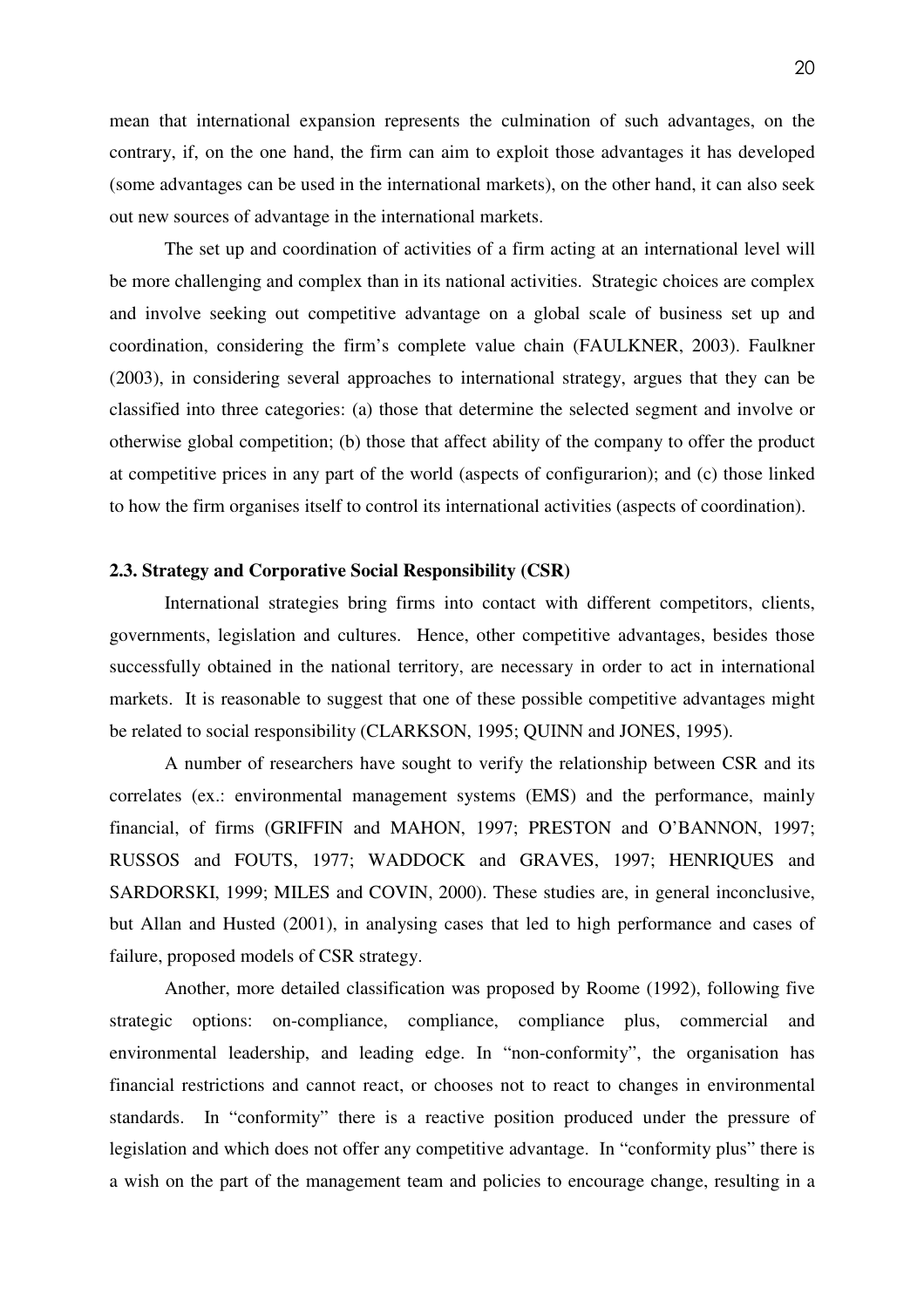mean that international expansion represents the culmination of such advantages, on the contrary, if, on the one hand, the firm can aim to exploit those advantages it has developed (some advantages can be used in the international markets), on the other hand, it can also seek out new sources of advantage in the international markets.

The set up and coordination of activities of a firm acting at an international level will be more challenging and complex than in its national activities. Strategic choices are complex and involve seeking out competitive advantage on a global scale of business set up and coordination, considering the firm's complete value chain (FAULKNER, 2003). Faulkner (2003), in considering several approaches to international strategy, argues that they can be classified into three categories: (a) those that determine the selected segment and involve or otherwise global competition; (b) those that affect ability of the company to offer the product at competitive prices in any part of the world (aspects of configurarion); and (c) those linked to how the firm organises itself to control its international activities (aspects of coordination).

# **2.3. Strategy and Corporative Social Responsibility (CSR)**

International strategies bring firms into contact with different competitors, clients, governments, legislation and cultures. Hence, other competitive advantages, besides those successfully obtained in the national territory, are necessary in order to act in international markets. It is reasonable to suggest that one of these possible competitive advantages might be related to social responsibility (CLARKSON, 1995; QUINN and JONES, 1995).

A number of researchers have sought to verify the relationship between CSR and its correlates (ex.: environmental management systems (EMS) and the performance, mainly financial, of firms (GRIFFIN and MAHON, 1997; PRESTON and O'BANNON, 1997; RUSSOS and FOUTS, 1977; WADDOCK and GRAVES, 1997; HENRIQUES and SARDORSKI, 1999; MILES and COVIN, 2000). These studies are, in general inconclusive, but Allan and Husted (2001), in analysing cases that led to high performance and cases of failure, proposed models of CSR strategy.

Another, more detailed classification was proposed by Roome (1992), following five strategic options: on-compliance, compliance, compliance plus, commercial and environmental leadership, and leading edge. In "non-conformity", the organisation has financial restrictions and cannot react, or chooses not to react to changes in environmental standards. In "conformity" there is a reactive position produced under the pressure of legislation and which does not offer any competitive advantage. In "conformity plus" there is a wish on the part of the management team and policies to encourage change, resulting in a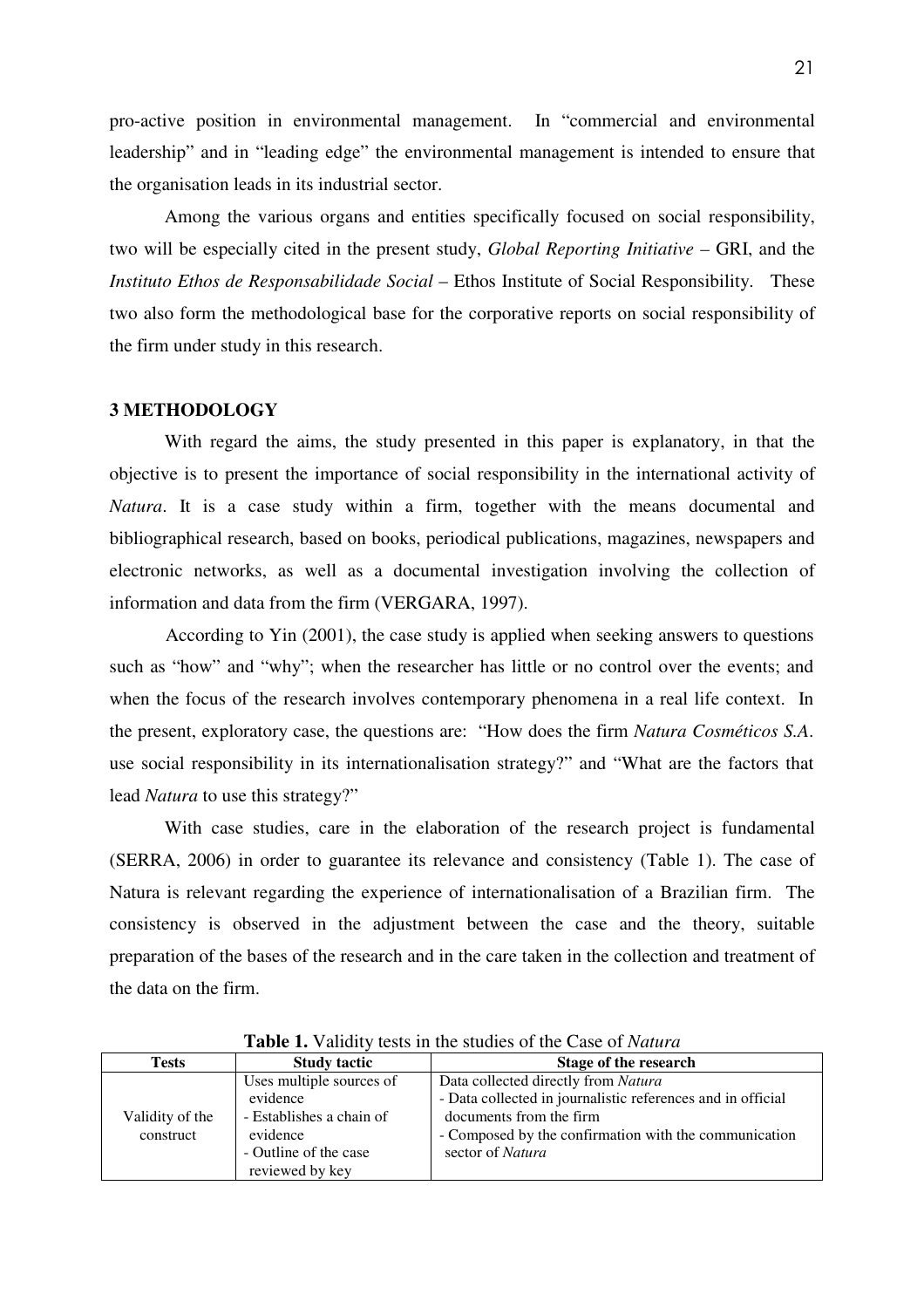pro-active position in environmental management. In "commercial and environmental leadership" and in "leading edge" the environmental management is intended to ensure that the organisation leads in its industrial sector.

Among the various organs and entities specifically focused on social responsibility, two will be especially cited in the present study, *Global Reporting Initiative –* GRI, and the *Instituto Ethos de Responsabilidade Social* – Ethos Institute of Social Responsibility. These two also form the methodological base for the corporative reports on social responsibility of the firm under study in this research.

## **3 METHODOLOGY**

With regard the aims, the study presented in this paper is explanatory, in that the objective is to present the importance of social responsibility in the international activity of *Natura*. It is a case study within a firm, together with the means documental and bibliographical research, based on books, periodical publications, magazines, newspapers and electronic networks, as well as a documental investigation involving the collection of information and data from the firm (VERGARA, 1997).

 According to Yin (2001), the case study is applied when seeking answers to questions such as "how" and "why"; when the researcher has little or no control over the events; and when the focus of the research involves contemporary phenomena in a real life context. In the present, exploratory case, the questions are: "How does the firm *Natura Cosméticos S.A*. use social responsibility in its internationalisation strategy?" and "What are the factors that lead *Natura* to use this strategy?"

With case studies, care in the elaboration of the research project is fundamental (SERRA, 2006) in order to guarantee its relevance and consistency (Table 1). The case of Natura is relevant regarding the experience of internationalisation of a Brazilian firm. The consistency is observed in the adjustment between the case and the theory, suitable preparation of the bases of the research and in the care taken in the collection and treatment of the data on the firm.

| <b>Tests</b>    | <b>Study tactic</b>      | Stage of the research                                       |  |  |
|-----------------|--------------------------|-------------------------------------------------------------|--|--|
|                 | Uses multiple sources of | Data collected directly from Natura                         |  |  |
|                 | evidence                 | - Data collected in journalistic references and in official |  |  |
| Validity of the | - Establishes a chain of | documents from the firm                                     |  |  |
| construct       | evidence                 | - Composed by the confirmation with the communication       |  |  |
|                 | - Outline of the case    | sector of <i>Natura</i>                                     |  |  |
|                 | reviewed by key          |                                                             |  |  |

**Table 1.** Validity tests in the studies of the Case of *Natura*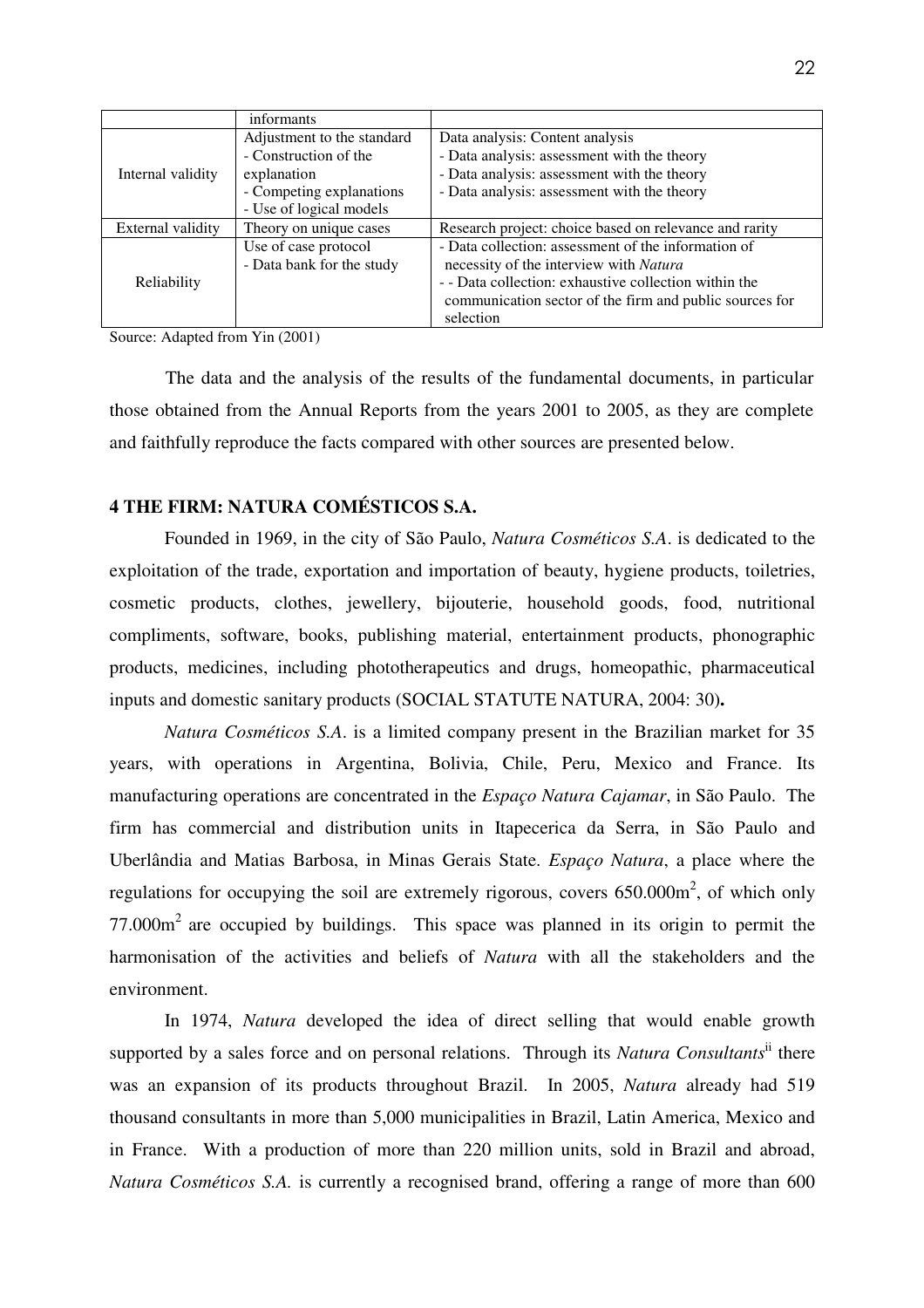|                                                       | informants                 |                                                         |  |  |
|-------------------------------------------------------|----------------------------|---------------------------------------------------------|--|--|
|                                                       | Adjustment to the standard | Data analysis: Content analysis                         |  |  |
| Internal validity<br>External validity<br>Reliability | - Construction of the      | - Data analysis: assessment with the theory             |  |  |
|                                                       | explanation                | - Data analysis: assessment with the theory             |  |  |
|                                                       | - Competing explanations   | - Data analysis: assessment with the theory             |  |  |
|                                                       | - Use of logical models    |                                                         |  |  |
|                                                       | Theory on unique cases     | Research project: choice based on relevance and rarity  |  |  |
|                                                       | Use of case protocol       | - Data collection: assessment of the information of     |  |  |
|                                                       | - Data bank for the study  | necessity of the interview with Natura                  |  |  |
|                                                       |                            | - - Data collection: exhaustive collection within the   |  |  |
|                                                       |                            | communication sector of the firm and public sources for |  |  |
|                                                       |                            | selection                                               |  |  |

Source: Adapted from Yin (2001)

 The data and the analysis of the results of the fundamental documents, in particular those obtained from the Annual Reports from the years 2001 to 2005, as they are complete and faithfully reproduce the facts compared with other sources are presented below.

# **4 THE FIRM: NATURA COMÉSTICOS S.A.**

Founded in 1969, in the city of São Paulo, *Natura Cosméticos S.A*. is dedicated to the exploitation of the trade, exportation and importation of beauty, hygiene products, toiletries, cosmetic products, clothes, jewellery, bijouterie, household goods, food, nutritional compliments, software, books, publishing material, entertainment products, phonographic products, medicines, including phototherapeutics and drugs, homeopathic, pharmaceutical inputs and domestic sanitary products (SOCIAL STATUTE NATURA, 2004: 30)**.** 

*Natura Cosméticos S.A*. is a limited company present in the Brazilian market for 35 years, with operations in Argentina, Bolivia, Chile, Peru, Mexico and France. Its manufacturing operations are concentrated in the *Espaço Natura Cajamar*, in São Paulo. The firm has commercial and distribution units in Itapecerica da Serra, in São Paulo and Uberlândia and Matias Barbosa, in Minas Gerais State. *Espaço Natura*, a place where the regulations for occupying the soil are extremely rigorous, covers  $650.000\text{m}^2$ , of which only  $77.000m<sup>2</sup>$  are occupied by buildings. This space was planned in its origin to permit the harmonisation of the activities and beliefs of *Natura* with all the stakeholders and the environment.

 In 1974, *Natura* developed the idea of direct selling that would enable growth supported by a sales force and on personal relations. Through its *Natura Consultants*ii there was an expansion of its products throughout Brazil. In 2005, *Natura* already had 519 thousand consultants in more than 5,000 municipalities in Brazil, Latin America, Mexico and in France. With a production of more than 220 million units, sold in Brazil and abroad, *Natura Cosméticos S.A.* is currently a recognised brand, offering a range of more than 600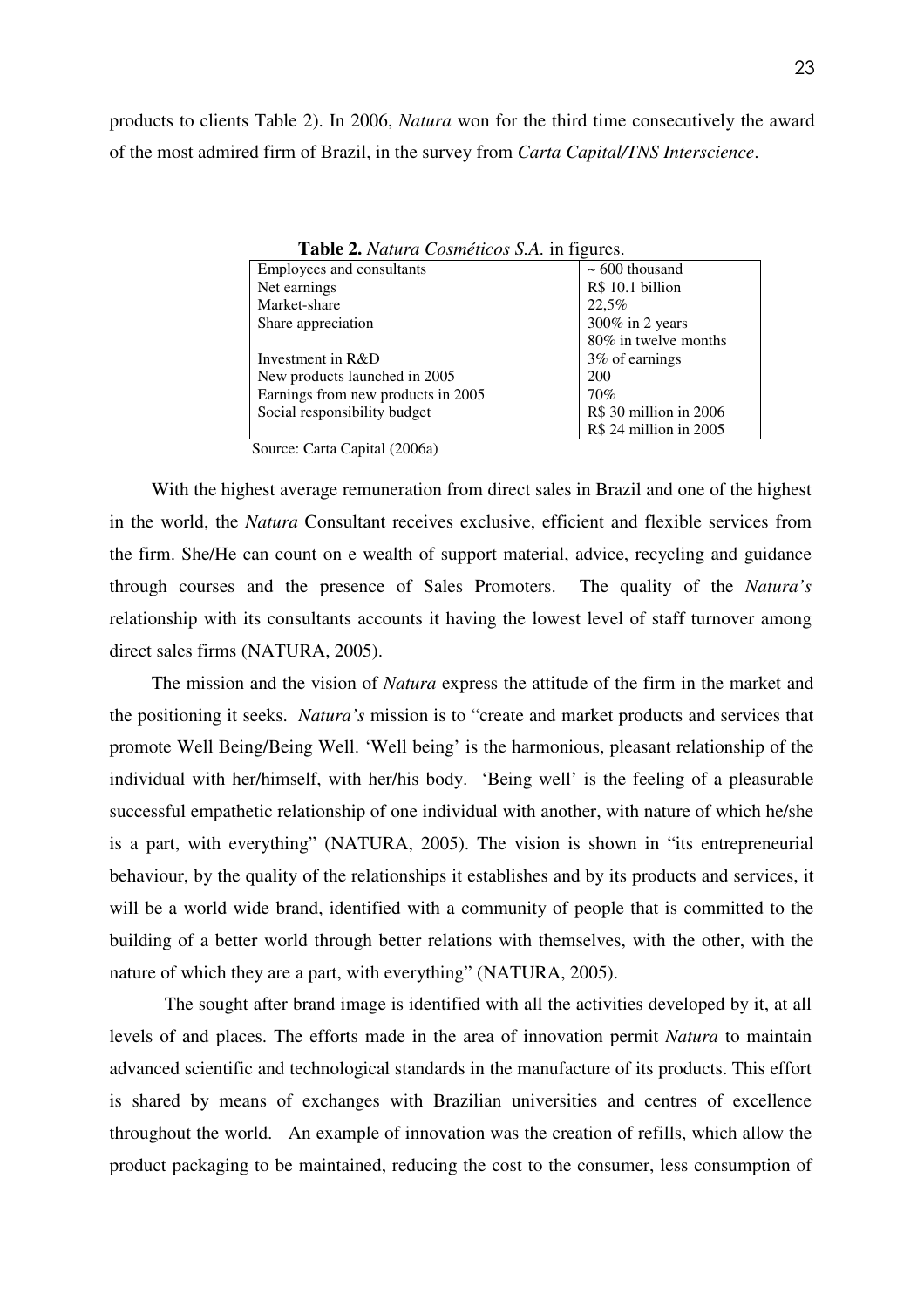products to clients Table 2). In 2006, *Natura* won for the third time consecutively the award of the most admired firm of Brazil, in the survey from *Carta Capital/TNS Interscience*.

| <b>Table 2.</b> Tranta Cosmencos 9.71. In IIguios. |                        |  |  |  |
|----------------------------------------------------|------------------------|--|--|--|
| Employees and consultants                          | $\sim 600$ thousand    |  |  |  |
| Net earnings                                       | R\$ 10.1 billion       |  |  |  |
| Market-share                                       | 22,5%                  |  |  |  |
| Share appreciation                                 | 300% in 2 years        |  |  |  |
|                                                    | 80% in twelve months   |  |  |  |
| Investment in R&D                                  | 3% of earnings         |  |  |  |
| New products launched in 2005                      | 200                    |  |  |  |
| Earnings from new products in 2005                 | 70%                    |  |  |  |
| Social responsibility budget                       | R\$ 30 million in 2006 |  |  |  |
|                                                    | R\$ 24 million in 2005 |  |  |  |

**Table 2.** *Natura Cosméticos S.A.* in figures.

Source: Carta Capital (2006a)

With the highest average remuneration from direct sales in Brazil and one of the highest in the world, the *Natura* Consultant receives exclusive, efficient and flexible services from the firm. She/He can count on e wealth of support material, advice, recycling and guidance through courses and the presence of Sales Promoters. The quality of the *Natura's* relationship with its consultants accounts it having the lowest level of staff turnover among direct sales firms (NATURA, 2005).

The mission and the vision of *Natura* express the attitude of the firm in the market and the positioning it seeks. *Natura's* mission is to "create and market products and services that promote Well Being/Being Well. 'Well being' is the harmonious, pleasant relationship of the individual with her/himself, with her/his body. 'Being well' is the feeling of a pleasurable successful empathetic relationship of one individual with another, with nature of which he/she is a part, with everything" (NATURA, 2005). The vision is shown in "its entrepreneurial behaviour, by the quality of the relationships it establishes and by its products and services, it will be a world wide brand, identified with a community of people that is committed to the building of a better world through better relations with themselves, with the other, with the nature of which they are a part, with everything" (NATURA, 2005).

 The sought after brand image is identified with all the activities developed by it, at all levels of and places. The efforts made in the area of innovation permit *Natura* to maintain advanced scientific and technological standards in the manufacture of its products. This effort is shared by means of exchanges with Brazilian universities and centres of excellence throughout the world. An example of innovation was the creation of refills, which allow the product packaging to be maintained, reducing the cost to the consumer, less consumption of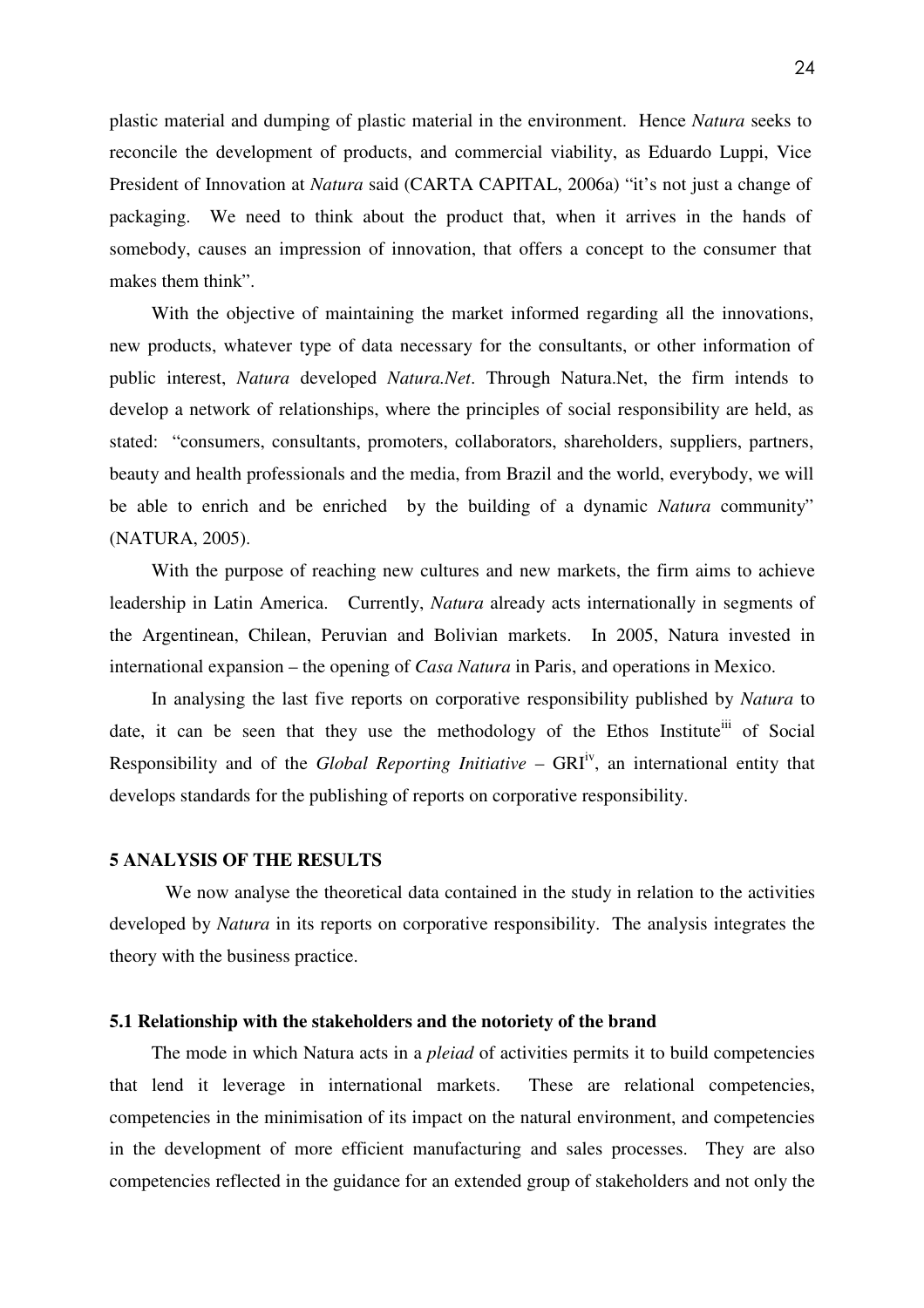plastic material and dumping of plastic material in the environment. Hence *Natura* seeks to reconcile the development of products, and commercial viability, as Eduardo Luppi, Vice President of Innovation at *Natura* said (CARTA CAPITAL, 2006a) "it's not just a change of packaging. We need to think about the product that, when it arrives in the hands of somebody, causes an impression of innovation, that offers a concept to the consumer that makes them think".

With the objective of maintaining the market informed regarding all the innovations, new products, whatever type of data necessary for the consultants, or other information of public interest, *Natura* developed *Natura.Net*. Through Natura.Net, the firm intends to develop a network of relationships, where the principles of social responsibility are held, as stated: "consumers, consultants, promoters, collaborators, shareholders, suppliers, partners, beauty and health professionals and the media, from Brazil and the world, everybody, we will be able to enrich and be enriched by the building of a dynamic *Natura* community" (NATURA, 2005).

With the purpose of reaching new cultures and new markets, the firm aims to achieve leadership in Latin America. Currently, *Natura* already acts internationally in segments of the Argentinean, Chilean, Peruvian and Bolivian markets. In 2005, Natura invested in international expansion – the opening of *Casa Natura* in Paris, and operations in Mexico.

In analysing the last five reports on corporative responsibility published by *Natura* to date, it can be seen that they use the methodology of the Ethos Institute<sup>iii</sup> of Social Responsibility and of the *Global Reporting Initiative* – GRI<sup>iv</sup>, an international entity that develops standards for the publishing of reports on corporative responsibility.

# **5 ANALYSIS OF THE RESULTS**

We now analyse the theoretical data contained in the study in relation to the activities developed by *Natura* in its reports on corporative responsibility. The analysis integrates the theory with the business practice.

#### **5.1 Relationship with the stakeholders and the notoriety of the brand**

The mode in which Natura acts in a *pleiad* of activities permits it to build competencies that lend it leverage in international markets. These are relational competencies, competencies in the minimisation of its impact on the natural environment, and competencies in the development of more efficient manufacturing and sales processes. They are also competencies reflected in the guidance for an extended group of stakeholders and not only the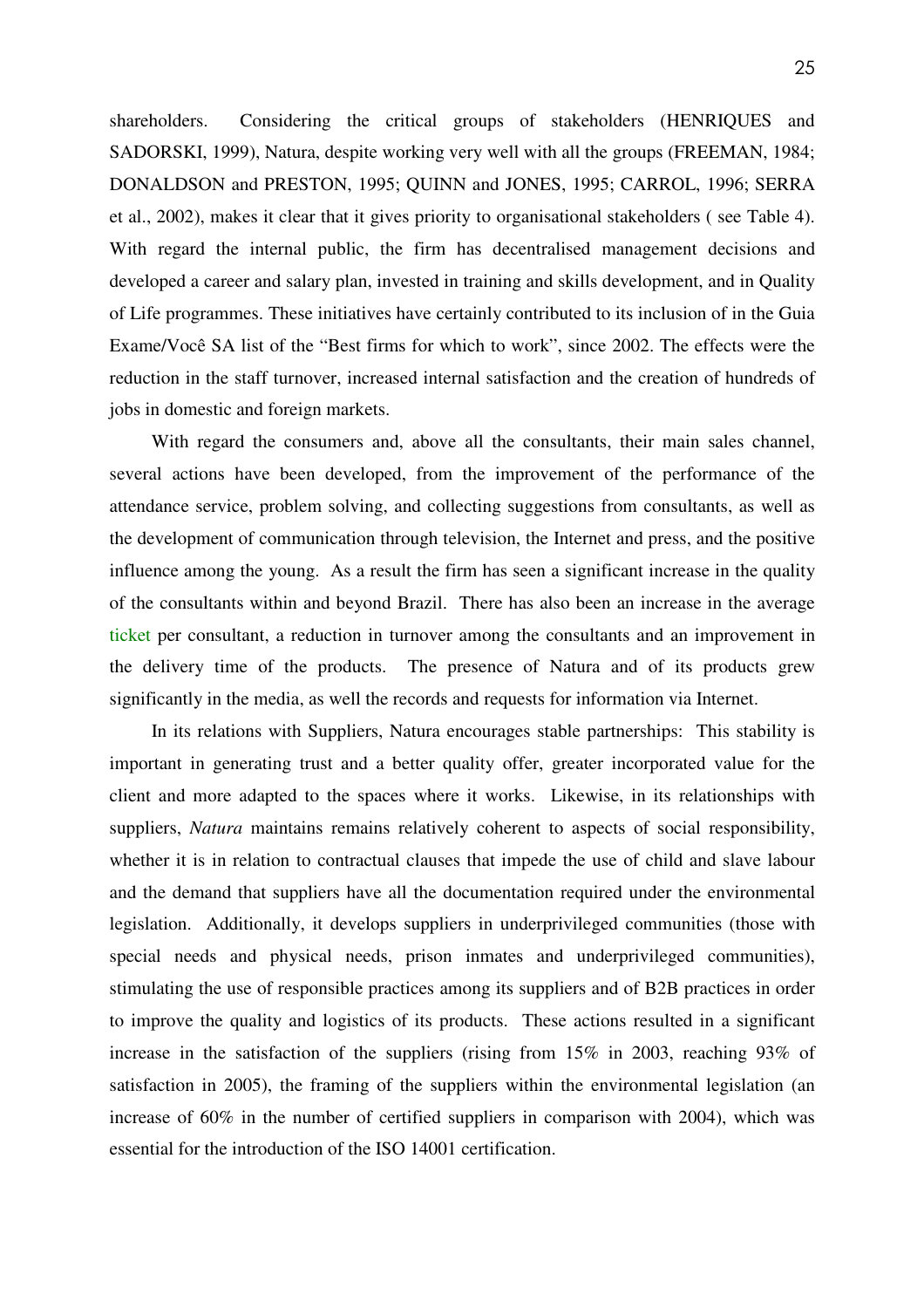shareholders. Considering the critical groups of stakeholders (HENRIQUES and SADORSKI, 1999), Natura, despite working very well with all the groups (FREEMAN, 1984; DONALDSON and PRESTON, 1995; QUINN and JONES, 1995; CARROL, 1996; SERRA et al., 2002), makes it clear that it gives priority to organisational stakeholders ( see Table 4). With regard the internal public, the firm has decentralised management decisions and developed a career and salary plan, invested in training and skills development, and in Quality of Life programmes. These initiatives have certainly contributed to its inclusion of in the Guia Exame/Você SA list of the "Best firms for which to work", since 2002. The effects were the reduction in the staff turnover, increased internal satisfaction and the creation of hundreds of jobs in domestic and foreign markets.

With regard the consumers and, above all the consultants, their main sales channel, several actions have been developed, from the improvement of the performance of the attendance service, problem solving, and collecting suggestions from consultants, as well as the development of communication through television, the Internet and press, and the positive influence among the young. As a result the firm has seen a significant increase in the quality of the consultants within and beyond Brazil. There has also been an increase in the average ticket per consultant, a reduction in turnover among the consultants and an improvement in the delivery time of the products. The presence of Natura and of its products grew significantly in the media, as well the records and requests for information via Internet.

In its relations with Suppliers, Natura encourages stable partnerships: This stability is important in generating trust and a better quality offer, greater incorporated value for the client and more adapted to the spaces where it works. Likewise, in its relationships with suppliers, *Natura* maintains remains relatively coherent to aspects of social responsibility, whether it is in relation to contractual clauses that impede the use of child and slave labour and the demand that suppliers have all the documentation required under the environmental legislation. Additionally, it develops suppliers in underprivileged communities (those with special needs and physical needs, prison inmates and underprivileged communities), stimulating the use of responsible practices among its suppliers and of B2B practices in order to improve the quality and logistics of its products. These actions resulted in a significant increase in the satisfaction of the suppliers (rising from 15% in 2003, reaching 93% of satisfaction in 2005), the framing of the suppliers within the environmental legislation (an increase of 60% in the number of certified suppliers in comparison with 2004), which was essential for the introduction of the ISO 14001 certification.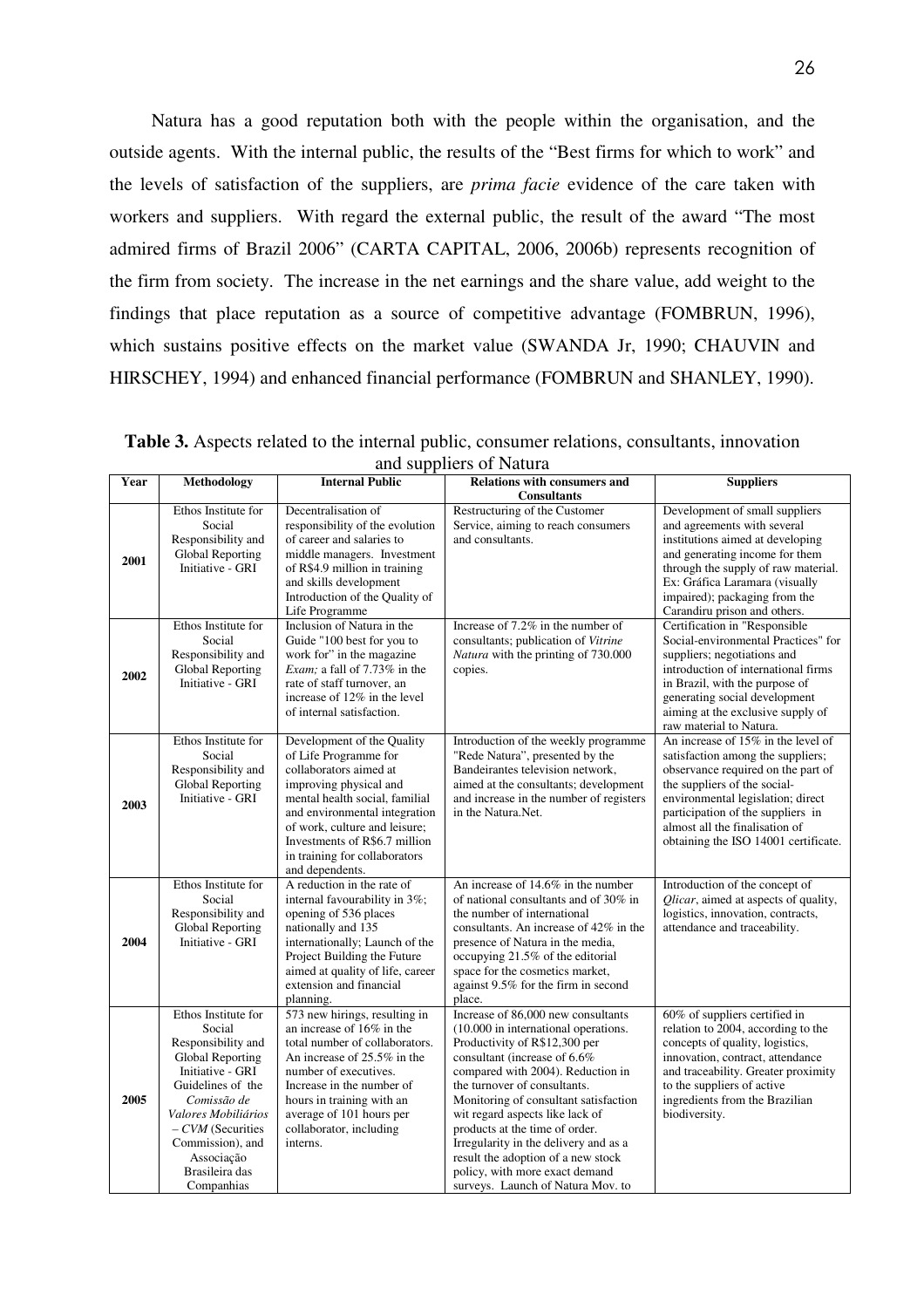Natura has a good reputation both with the people within the organisation, and the outside agents. With the internal public, the results of the "Best firms for which to work" and the levels of satisfaction of the suppliers, are *prima facie* evidence of the care taken with workers and suppliers. With regard the external public, the result of the award "The most admired firms of Brazil 2006" (CARTA CAPITAL, 2006, 2006b) represents recognition of the firm from society. The increase in the net earnings and the share value, add weight to the findings that place reputation as a source of competitive advantage (FOMBRUN, 1996), which sustains positive effects on the market value (SWANDA Jr, 1990; CHAUVIN and HIRSCHEY, 1994) and enhanced financial performance (FOMBRUN and SHANLEY, 1990).

**Table 3.** Aspects related to the internal public, consumer relations, consultants, innovation and suppliers of Natura

|              |                                                                                                                                                                                                                                                |                                                                                                                                                                                                                                                                                                                                                                                                     | and bupping of Francia                                                                                                                                                                                                                                                                                                                                                                                                                                                               |                                                                                                                                                                                                                                                                                                                                                                                                                                                               |
|--------------|------------------------------------------------------------------------------------------------------------------------------------------------------------------------------------------------------------------------------------------------|-----------------------------------------------------------------------------------------------------------------------------------------------------------------------------------------------------------------------------------------------------------------------------------------------------------------------------------------------------------------------------------------------------|--------------------------------------------------------------------------------------------------------------------------------------------------------------------------------------------------------------------------------------------------------------------------------------------------------------------------------------------------------------------------------------------------------------------------------------------------------------------------------------|---------------------------------------------------------------------------------------------------------------------------------------------------------------------------------------------------------------------------------------------------------------------------------------------------------------------------------------------------------------------------------------------------------------------------------------------------------------|
| Year         | <b>Methodology</b>                                                                                                                                                                                                                             | <b>Internal Public</b>                                                                                                                                                                                                                                                                                                                                                                              | <b>Relations with consumers and</b>                                                                                                                                                                                                                                                                                                                                                                                                                                                  | <b>Suppliers</b>                                                                                                                                                                                                                                                                                                                                                                                                                                              |
| 2001<br>2002 | Ethos Institute for<br>Social<br>Responsibility and<br>Global Reporting<br>Initiative - GRI<br>Ethos Institute for<br>Social<br>Responsibility and<br>Global Reporting<br>Initiative - GRI                                                     | Decentralisation of<br>responsibility of the evolution<br>of career and salaries to<br>middle managers. Investment<br>of R\$4.9 million in training<br>and skills development<br>Introduction of the Quality of<br>Life Programme<br>Inclusion of Natura in the<br>Guide "100 best for you to<br>work for" in the magazine<br><i>Exam</i> ; a fall of $7.73\%$ in the<br>rate of staff turnover, an | <b>Consultants</b><br>Restructuring of the Customer<br>Service, aiming to reach consumers<br>and consultants.<br>Increase of 7.2% in the number of<br>consultants; publication of Vitrine<br>Natura with the printing of 730.000<br>copies.                                                                                                                                                                                                                                          | Development of small suppliers<br>and agreements with several<br>institutions aimed at developing<br>and generating income for them<br>through the supply of raw material.<br>Ex: Gráfica Laramara (visually<br>impaired); packaging from the<br>Carandiru prison and others.<br>Certification in "Responsible<br>Social-environmental Practices" for<br>suppliers; negotiations and<br>introduction of international firms<br>in Brazil, with the purpose of |
|              |                                                                                                                                                                                                                                                | increase of 12% in the level<br>of internal satisfaction.                                                                                                                                                                                                                                                                                                                                           |                                                                                                                                                                                                                                                                                                                                                                                                                                                                                      | generating social development<br>aiming at the exclusive supply of<br>raw material to Natura.                                                                                                                                                                                                                                                                                                                                                                 |
| 2003         | Ethos Institute for<br>Social<br>Responsibility and<br>Global Reporting<br>Initiative - GRI                                                                                                                                                    | Development of the Quality<br>of Life Programme for<br>collaborators aimed at<br>improving physical and<br>mental health social, familial<br>and environmental integration<br>of work, culture and leisure;<br>Investments of R\$6.7 million<br>in training for collaborators<br>and dependents.                                                                                                    | Introduction of the weekly programme<br>"Rede Natura", presented by the<br>Bandeirantes television network,<br>aimed at the consultants; development<br>and increase in the number of registers<br>in the Natura.Net.                                                                                                                                                                                                                                                                | An increase of $15\%$ in the level of<br>satisfaction among the suppliers;<br>observance required on the part of<br>the suppliers of the social-<br>environmental legislation; direct<br>participation of the suppliers in<br>almost all the finalisation of<br>obtaining the ISO 14001 certificate.                                                                                                                                                          |
| 2004         | Ethos Institute for<br>Social<br>Responsibility and<br>Global Reporting<br>Initiative - GRI                                                                                                                                                    | A reduction in the rate of<br>internal favourability in 3%;<br>opening of 536 places<br>nationally and 135<br>internationally; Launch of the<br>Project Building the Future<br>aimed at quality of life, career<br>extension and financial<br>planning.                                                                                                                                             | An increase of 14.6% in the number<br>of national consultants and of 30% in<br>the number of international<br>consultants. An increase of 42% in the<br>presence of Natura in the media,<br>occupying 21.5% of the editorial<br>space for the cosmetics market,<br>against 9.5% for the firm in second<br>place.                                                                                                                                                                     | Introduction of the concept of<br>Qlicar, aimed at aspects of quality,<br>logistics, innovation, contracts,<br>attendance and traceability.                                                                                                                                                                                                                                                                                                                   |
| 2005         | Ethos Institute for<br>Social<br>Responsibility and<br>Global Reporting<br>Initiative - GRI<br>Guidelines of the<br>Comissão de<br>Valores Mobiliários<br>$-CVM$ (Securities<br>Commission), and<br>Associação<br>Brasileira das<br>Companhias | 573 new hirings, resulting in<br>an increase of 16% in the<br>total number of collaborators.<br>An increase of 25.5% in the<br>number of executives.<br>Increase in the number of<br>hours in training with an<br>average of 101 hours per<br>collaborator, including<br>interns.                                                                                                                   | Increase of 86,000 new consultants<br>(10.000 in international operations.<br>Productivity of R\$12,300 per<br>consultant (increase of 6.6%<br>compared with 2004). Reduction in<br>the turnover of consultants.<br>Monitoring of consultant satisfaction<br>wit regard aspects like lack of<br>products at the time of order.<br>Irregularity in the delivery and as a<br>result the adoption of a new stock<br>policy, with more exact demand<br>surveys. Launch of Natura Mov. to | 60% of suppliers certified in<br>relation to 2004, according to the<br>concepts of quality, logistics,<br>innovation, contract, attendance<br>and traceability. Greater proximity<br>to the suppliers of active<br>ingredients from the Brazilian<br>biodiversity.                                                                                                                                                                                            |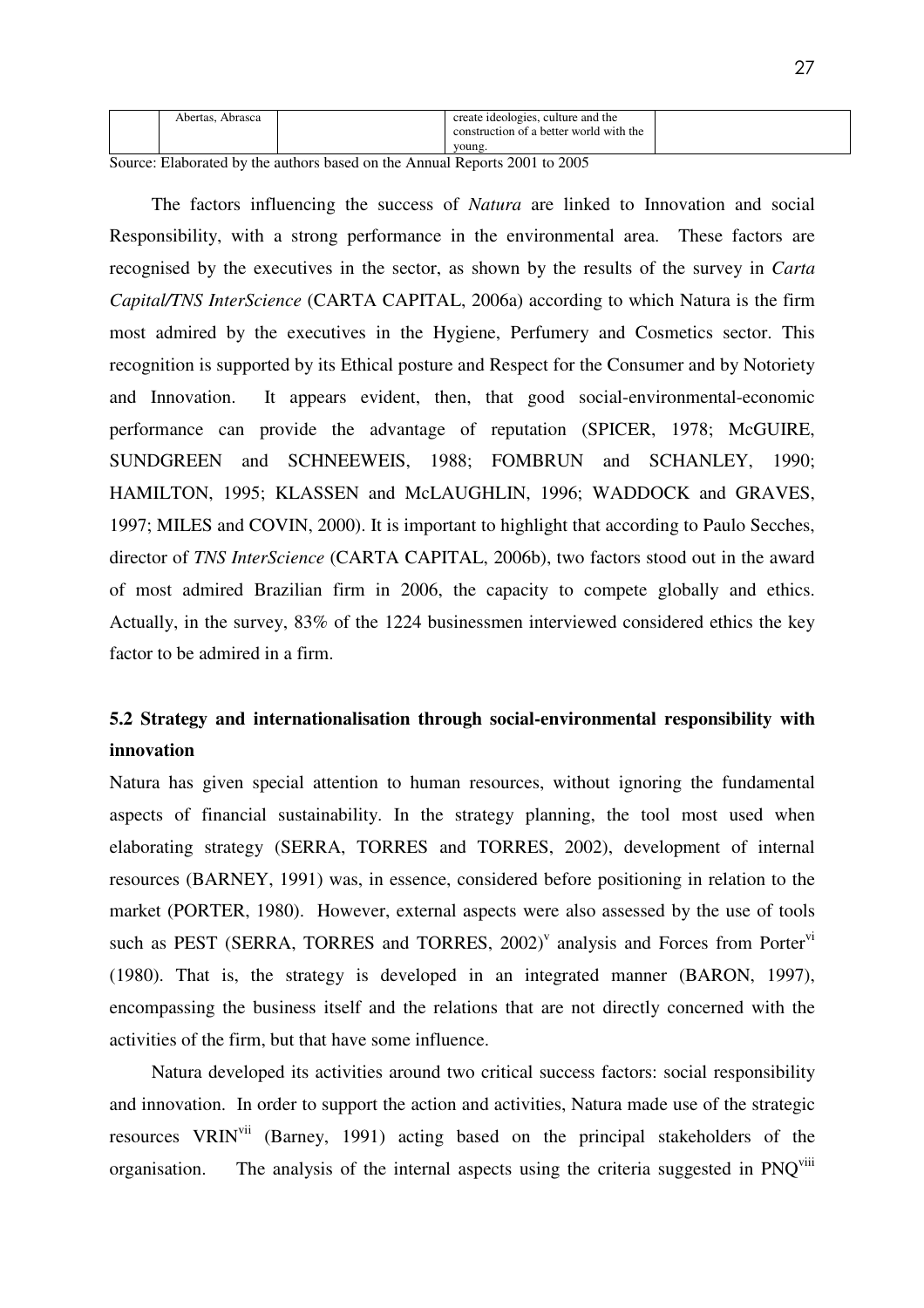| Abertas.<br>Abrasca | create ideologies, culture and the      |  |
|---------------------|-----------------------------------------|--|
|                     | construction of a better world with the |  |
|                     | young                                   |  |

Source: Elaborated by the authors based on the Annual Reports 2001 to 2005

The factors influencing the success of *Natura* are linked to Innovation and social Responsibility, with a strong performance in the environmental area. These factors are recognised by the executives in the sector, as shown by the results of the survey in *Carta Capital/TNS InterScience* (CARTA CAPITAL, 2006a) according to which Natura is the firm most admired by the executives in the Hygiene, Perfumery and Cosmetics sector. This recognition is supported by its Ethical posture and Respect for the Consumer and by Notoriety and Innovation. It appears evident, then, that good social-environmental-economic performance can provide the advantage of reputation (SPICER, 1978; McGUIRE, SUNDGREEN and SCHNEEWEIS, 1988; FOMBRUN and SCHANLEY, 1990; HAMILTON, 1995; KLASSEN and McLAUGHLIN, 1996; WADDOCK and GRAVES, 1997; MILES and COVIN, 2000). It is important to highlight that according to Paulo Secches, director of *TNS InterScience* (CARTA CAPITAL, 2006b), two factors stood out in the award of most admired Brazilian firm in 2006, the capacity to compete globally and ethics. Actually, in the survey, 83% of the 1224 businessmen interviewed considered ethics the key factor to be admired in a firm.

# **5.2 Strategy and internationalisation through social-environmental responsibility with innovation**

Natura has given special attention to human resources, without ignoring the fundamental aspects of financial sustainability. In the strategy planning, the tool most used when elaborating strategy (SERRA, TORRES and TORRES, 2002), development of internal resources (BARNEY, 1991) was, in essence, considered before positioning in relation to the market (PORTER, 1980). However, external aspects were also assessed by the use of tools such as PEST (SERRA, TORRES and TORRES,  $2002$ )<sup>V</sup> analysis and Forces from Porter<sup>vi</sup> (1980). That is, the strategy is developed in an integrated manner (BARON, 1997), encompassing the business itself and the relations that are not directly concerned with the activities of the firm, but that have some influence.

Natura developed its activities around two critical success factors: social responsibility and innovation. In order to support the action and activities, Natura made use of the strategic resources VRINvii (Barney, 1991) acting based on the principal stakeholders of the organisation. The analysis of the internal aspects using the criteria suggested in PNO<sup>viii</sup>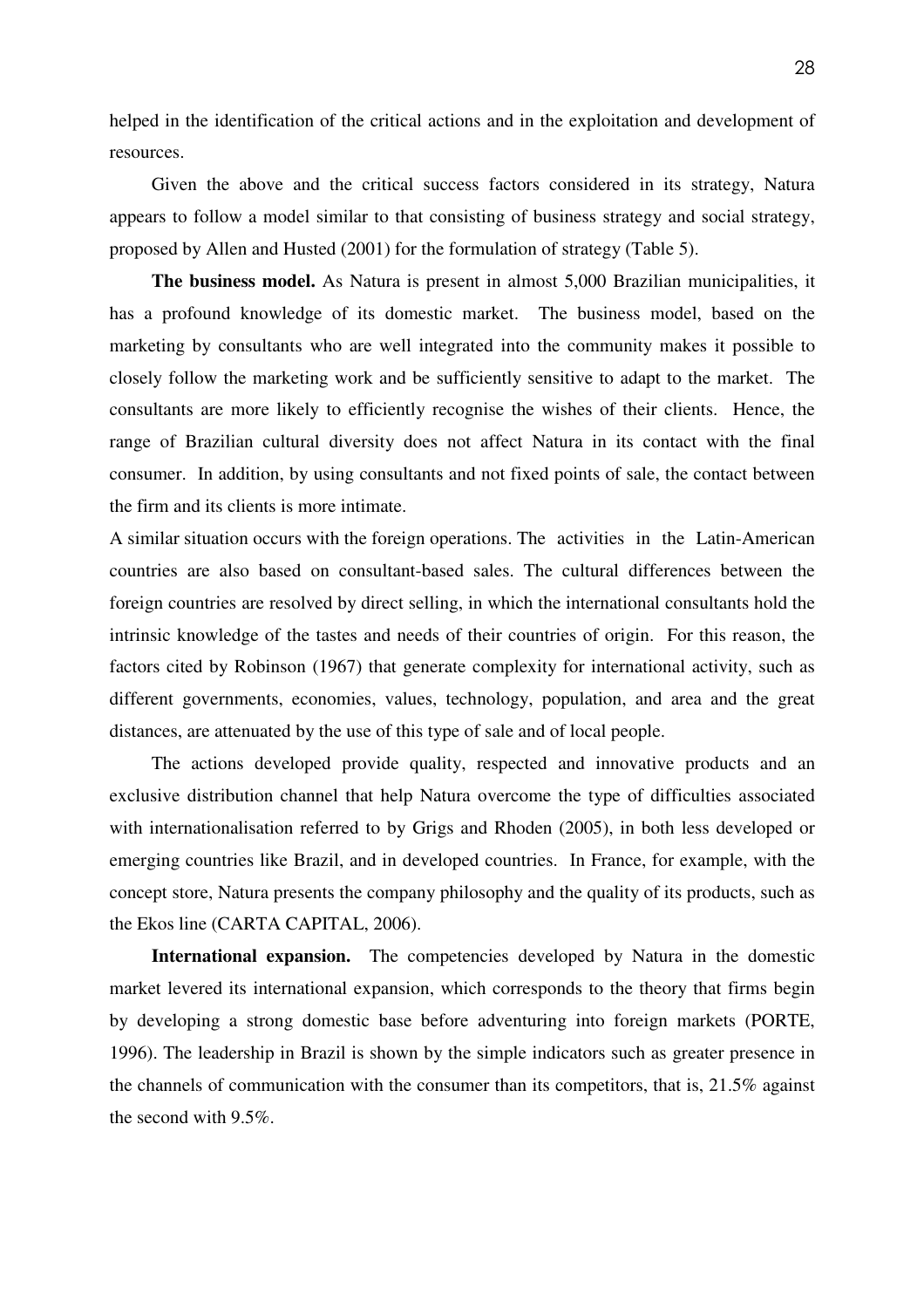helped in the identification of the critical actions and in the exploitation and development of resources.

Given the above and the critical success factors considered in its strategy, Natura appears to follow a model similar to that consisting of business strategy and social strategy, proposed by Allen and Husted (2001) for the formulation of strategy (Table 5).

**The business model.** As Natura is present in almost 5,000 Brazilian municipalities, it has a profound knowledge of its domestic market. The business model, based on the marketing by consultants who are well integrated into the community makes it possible to closely follow the marketing work and be sufficiently sensitive to adapt to the market. The consultants are more likely to efficiently recognise the wishes of their clients. Hence, the range of Brazilian cultural diversity does not affect Natura in its contact with the final consumer. In addition, by using consultants and not fixed points of sale, the contact between the firm and its clients is more intimate.

A similar situation occurs with the foreign operations. The activities in the Latin-American countries are also based on consultant-based sales. The cultural differences between the foreign countries are resolved by direct selling, in which the international consultants hold the intrinsic knowledge of the tastes and needs of their countries of origin. For this reason, the factors cited by Robinson (1967) that generate complexity for international activity, such as different governments, economies, values, technology, population, and area and the great distances, are attenuated by the use of this type of sale and of local people.

The actions developed provide quality, respected and innovative products and an exclusive distribution channel that help Natura overcome the type of difficulties associated with internationalisation referred to by Grigs and Rhoden (2005), in both less developed or emerging countries like Brazil, and in developed countries. In France, for example, with the concept store, Natura presents the company philosophy and the quality of its products, such as the Ekos line (CARTA CAPITAL, 2006).

**International expansion.** The competencies developed by Natura in the domestic market levered its international expansion, which corresponds to the theory that firms begin by developing a strong domestic base before adventuring into foreign markets (PORTE, 1996). The leadership in Brazil is shown by the simple indicators such as greater presence in the channels of communication with the consumer than its competitors, that is, 21.5% against the second with 9.5%.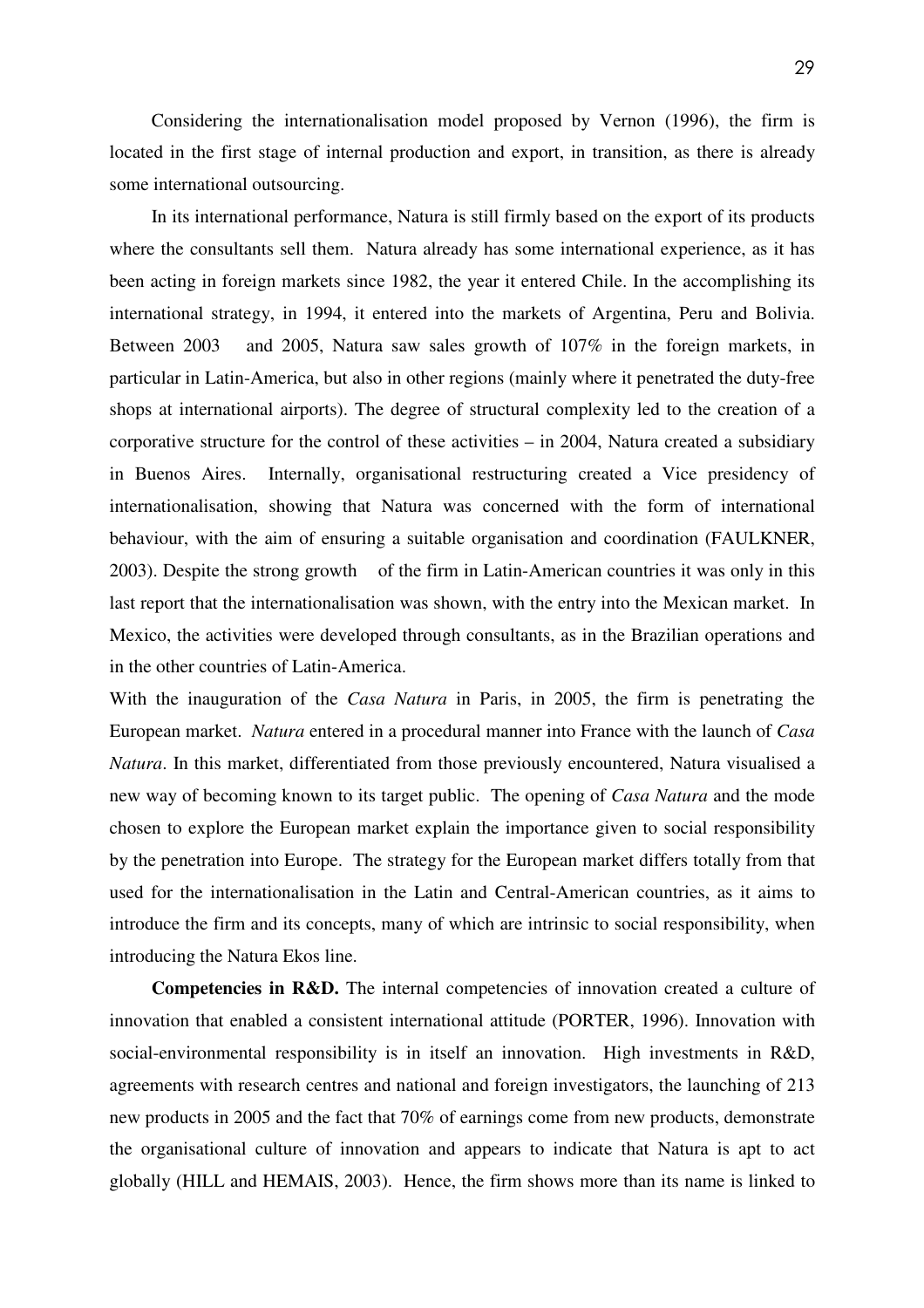Considering the internationalisation model proposed by Vernon (1996), the firm is located in the first stage of internal production and export, in transition, as there is already some international outsourcing.

In its international performance, Natura is still firmly based on the export of its products where the consultants sell them. Natura already has some international experience, as it has been acting in foreign markets since 1982, the year it entered Chile. In the accomplishing its international strategy, in 1994, it entered into the markets of Argentina, Peru and Bolivia. Between 2003 and 2005, Natura saw sales growth of 107% in the foreign markets, in particular in Latin-America, but also in other regions (mainly where it penetrated the duty-free shops at international airports). The degree of structural complexity led to the creation of a corporative structure for the control of these activities – in 2004, Natura created a subsidiary in Buenos Aires. Internally, organisational restructuring created a Vice presidency of internationalisation, showing that Natura was concerned with the form of international behaviour, with the aim of ensuring a suitable organisation and coordination (FAULKNER, 2003). Despite the strong growth of the firm in Latin-American countries it was only in this last report that the internationalisation was shown, with the entry into the Mexican market. In Mexico, the activities were developed through consultants, as in the Brazilian operations and in the other countries of Latin-America.

With the inauguration of the *Casa Natura* in Paris, in 2005, the firm is penetrating the European market. *Natura* entered in a procedural manner into France with the launch of *Casa Natura*. In this market, differentiated from those previously encountered, Natura visualised a new way of becoming known to its target public. The opening of *Casa Natura* and the mode chosen to explore the European market explain the importance given to social responsibility by the penetration into Europe. The strategy for the European market differs totally from that used for the internationalisation in the Latin and Central-American countries, as it aims to introduce the firm and its concepts, many of which are intrinsic to social responsibility, when introducing the Natura Ekos line.

**Competencies in R&D.** The internal competencies of innovation created a culture of innovation that enabled a consistent international attitude (PORTER, 1996). Innovation with social-environmental responsibility is in itself an innovation. High investments in R&D, agreements with research centres and national and foreign investigators, the launching of 213 new products in 2005 and the fact that 70% of earnings come from new products, demonstrate the organisational culture of innovation and appears to indicate that Natura is apt to act globally (HILL and HEMAIS, 2003). Hence, the firm shows more than its name is linked to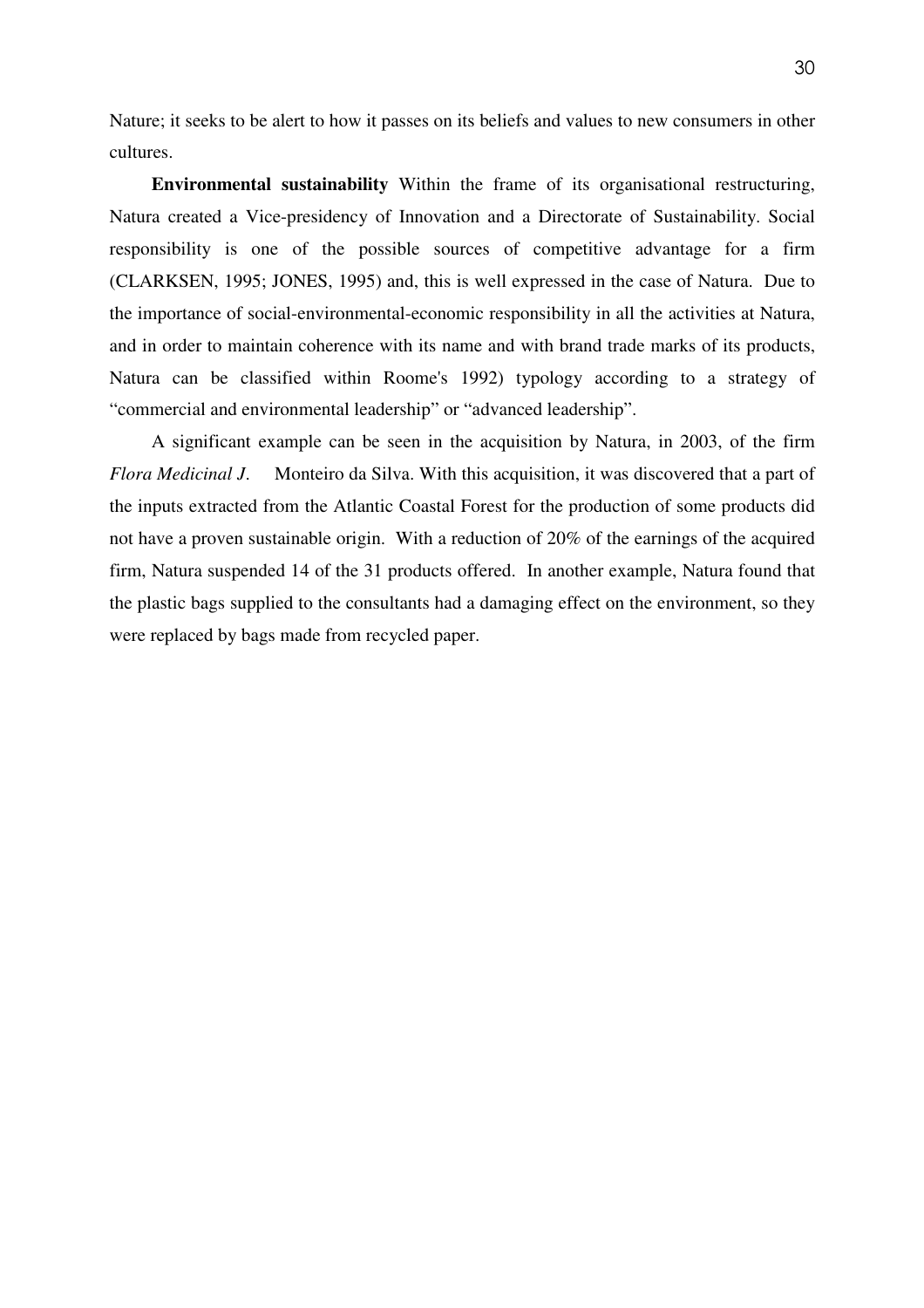Nature; it seeks to be alert to how it passes on its beliefs and values to new consumers in other cultures.

**Environmental sustainability** Within the frame of its organisational restructuring, Natura created a Vice-presidency of Innovation and a Directorate of Sustainability. Social responsibility is one of the possible sources of competitive advantage for a firm (CLARKSEN, 1995; JONES, 1995) and, this is well expressed in the case of Natura. Due to the importance of social-environmental-economic responsibility in all the activities at Natura, and in order to maintain coherence with its name and with brand trade marks of its products, Natura can be classified within Roome's 1992) typology according to a strategy of "commercial and environmental leadership" or "advanced leadership".

A significant example can be seen in the acquisition by Natura, in 2003, of the firm *Flora Medicinal J*. Monteiro da Silva. With this acquisition, it was discovered that a part of the inputs extracted from the Atlantic Coastal Forest for the production of some products did not have a proven sustainable origin. With a reduction of 20% of the earnings of the acquired firm, Natura suspended 14 of the 31 products offered. In another example, Natura found that the plastic bags supplied to the consultants had a damaging effect on the environment, so they were replaced by bags made from recycled paper.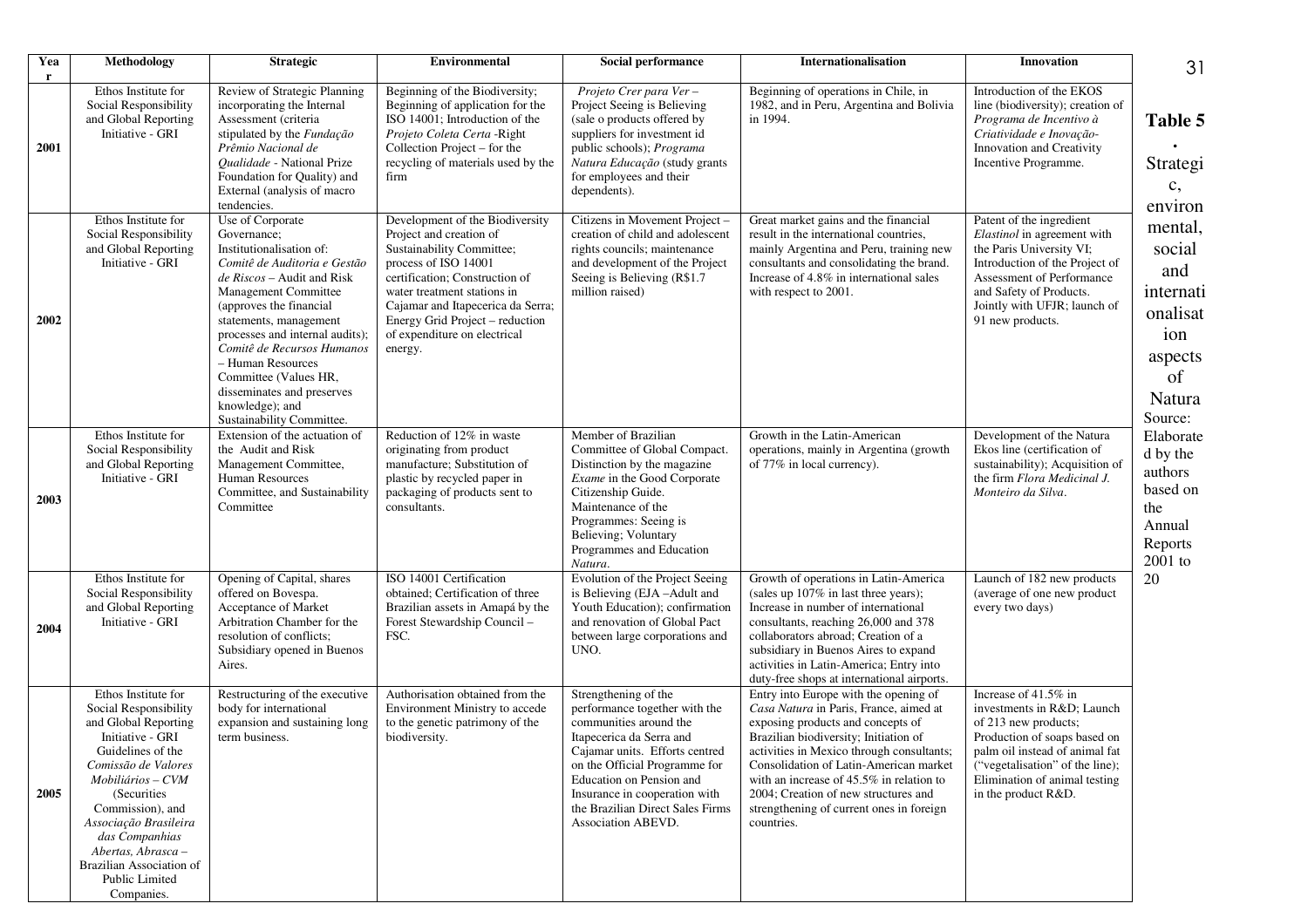| Yea              | Methodology                                                                                                                                                                                                                                                                                                               | <b>Strategic</b>                                                                                                                                                                                                                                                                                                                                                                                    | <b>Environmental</b>                                                                                                                                                                                                                                                                                | Social performance                                                                                                                                                                                                                                                                                    | <b>Internationalisation</b>                                                                                                                                                                                                                                                                                                                                                                           | Innovation                                                                                                                                                                                                                             | 31                                                                                             |
|------------------|---------------------------------------------------------------------------------------------------------------------------------------------------------------------------------------------------------------------------------------------------------------------------------------------------------------------------|-----------------------------------------------------------------------------------------------------------------------------------------------------------------------------------------------------------------------------------------------------------------------------------------------------------------------------------------------------------------------------------------------------|-----------------------------------------------------------------------------------------------------------------------------------------------------------------------------------------------------------------------------------------------------------------------------------------------------|-------------------------------------------------------------------------------------------------------------------------------------------------------------------------------------------------------------------------------------------------------------------------------------------------------|-------------------------------------------------------------------------------------------------------------------------------------------------------------------------------------------------------------------------------------------------------------------------------------------------------------------------------------------------------------------------------------------------------|----------------------------------------------------------------------------------------------------------------------------------------------------------------------------------------------------------------------------------------|------------------------------------------------------------------------------------------------|
| <b>r</b><br>2001 | Ethos Institute for<br>Social Responsibility<br>and Global Reporting<br>Initiative - GRI                                                                                                                                                                                                                                  | Review of Strategic Planning<br>incorporating the Internal<br>Assessment (criteria<br>stipulated by the Fundação<br>Prêmio Nacional de<br>Qualidade - National Prize<br>Foundation for Quality) and<br>External (analysis of macro<br>tendencies.                                                                                                                                                   | Beginning of the Biodiversity;<br>Beginning of application for the<br>ISO 14001; Introduction of the<br>Projeto Coleta Certa - Right<br>Collection Project - for the<br>recycling of materials used by the<br>firm                                                                                  | Projeto Crer para Ver-<br>Project Seeing is Believing<br>(sale o products offered by<br>suppliers for investment id<br>public schools); Programa<br>Natura Educação (study grants<br>for employees and their<br>dependents).                                                                          | Beginning of operations in Chile, in<br>1982, and in Peru, Argentina and Bolivia<br>in 1994.                                                                                                                                                                                                                                                                                                          | Introduction of the EKOS<br>line (biodiversity); creation of<br>Programa de Incentivo à<br>Criatividade e Inovação-<br>Innovation and Creativity<br>Incentive Programme.                                                               | Table 5<br>Strategi<br>c,<br>environ                                                           |
| 2002             | Ethos Institute for<br>Social Responsibility<br>and Global Reporting<br>Initiative - GRI                                                                                                                                                                                                                                  | Use of Corporate<br>Governance;<br>Institutionalisation of:<br>Comitê de Auditoria e Gestão<br>de Riscos - Audit and Risk<br>Management Committee<br>(approves the financial<br>statements, management<br>processes and internal audits);<br>Comitê de Recursos Humanos<br>- Human Resources<br>Committee (Values HR,<br>disseminates and preserves<br>knowledge); and<br>Sustainability Committee. | Development of the Biodiversity<br>Project and creation of<br>Sustainability Committee;<br>process of ISO 14001<br>certification; Construction of<br>water treatment stations in<br>Cajamar and Itapecerica da Serra;<br>Energy Grid Project - reduction<br>of expenditure on electrical<br>energy. | Citizens in Movement Project -<br>creation of child and adolescent<br>rights councils; maintenance<br>and development of the Project<br>Seeing is Believing (R\$1.7)<br>million raised)                                                                                                               | Great market gains and the financial<br>result in the international countries,<br>mainly Argentina and Peru, training new<br>consultants and consolidating the brand.<br>Increase of 4.8% in international sales<br>with respect to 2001.                                                                                                                                                             | Patent of the ingredient<br>Elastinol in agreement with<br>the Paris University VI;<br>Introduction of the Project of<br>Assessment of Performance<br>and Safety of Products.<br>Jointly with UFJR; launch of<br>91 new products.      | mental,<br>social<br>and<br>internati<br>onalisat<br>ion<br>aspects<br>of<br>Natura<br>Source: |
| 2003             | Ethos Institute for<br>Social Responsibility<br>and Global Reporting<br>Initiative - GRI                                                                                                                                                                                                                                  | Extension of the actuation of<br>the Audit and Risk<br>Management Committee,<br><b>Human Resources</b><br>Committee, and Sustainability<br>Committee                                                                                                                                                                                                                                                | Reduction of 12% in waste<br>originating from product<br>manufacture; Substitution of<br>plastic by recycled paper in<br>packaging of products sent to<br>consultants.                                                                                                                              | Member of Brazilian<br>Committee of Global Compact.<br>Distinction by the magazine<br>Exame in the Good Corporate<br>Citizenship Guide.<br>Maintenance of the<br>Programmes: Seeing is<br>Believing; Voluntary<br>Programmes and Education<br>Natura.                                                 | Growth in the Latin-American<br>operations, mainly in Argentina (growth<br>of 77% in local currency).                                                                                                                                                                                                                                                                                                 | Development of the Natura<br>Ekos line (certification of<br>sustainability); Acquisition of<br>the firm Flora Medicinal J.<br>Monteiro da Silva.                                                                                       | Elaborate<br>d by the<br>authors<br>based on<br>the<br>Annual<br>Reports<br>2001 to            |
| 2004             | Ethos Institute for<br>Social Responsibility<br>and Global Reporting<br>Initiative - GRI                                                                                                                                                                                                                                  | Opening of Capital, shares<br>offered on Bovespa.<br>Acceptance of Market<br>Arbitration Chamber for the<br>resolution of conflicts;<br>Subsidiary opened in Buenos<br>Aires.                                                                                                                                                                                                                       | ISO 14001 Certification<br>obtained; Certification of three<br>Brazilian assets in Amapá by the<br>Forest Stewardship Council -<br>FSC.                                                                                                                                                             | Evolution of the Project Seeing<br>is Believing (EJA-Adult and<br>Youth Education); confirmation<br>and renovation of Global Pact<br>between large corporations and<br>UNO.                                                                                                                           | Growth of operations in Latin-America<br>(sales up 107% in last three years);<br>Increase in number of international<br>consultants, reaching 26,000 and 378<br>collaborators abroad; Creation of a<br>subsidiary in Buenos Aires to expand<br>activities in Latin-America; Entry into<br>duty-free shops at international airports.                                                                  | Launch of 182 new products<br>(average of one new product<br>every two days)                                                                                                                                                           | 20                                                                                             |
| 2005             | Ethos Institute for<br>Social Responsibility<br>and Global Reporting<br>Initiative - GRI<br>Guidelines of the<br>Comissão de Valores<br>Mobiliários - CVM<br>(Securities<br>Commission), and<br>Associação Brasileira<br>das Companhias<br>Abertas, Abrasca -<br>Brazilian Association of<br>Public Limited<br>Companies. | Restructuring of the executive<br>body for international<br>expansion and sustaining long<br>term business.                                                                                                                                                                                                                                                                                         | Authorisation obtained from the<br>Environment Ministry to accede<br>to the genetic patrimony of the<br>biodiversity.                                                                                                                                                                               | Strengthening of the<br>performance together with the<br>communities around the<br>Itapecerica da Serra and<br>Cajamar units. Efforts centred<br>on the Official Programme for<br>Education on Pension and<br>Insurance in cooperation with<br>the Brazilian Direct Sales Firms<br>Association ABEVD. | Entry into Europe with the opening of<br>Casa Natura in Paris, France, aimed at<br>exposing products and concepts of<br>Brazilian biodiversity; Initiation of<br>activities in Mexico through consultants;<br>Consolidation of Latin-American market<br>with an increase of $45.5\%$ in relation to<br>2004; Creation of new structures and<br>strengthening of current ones in foreign<br>countries. | Increase of 41.5% in<br>investments in R&D Launch<br>of 213 new products;<br>Production of soaps based on<br>palm oil instead of animal fat<br>("vegetalisation" of the line);<br>Elimination of animal testing<br>in the product R&D. |                                                                                                |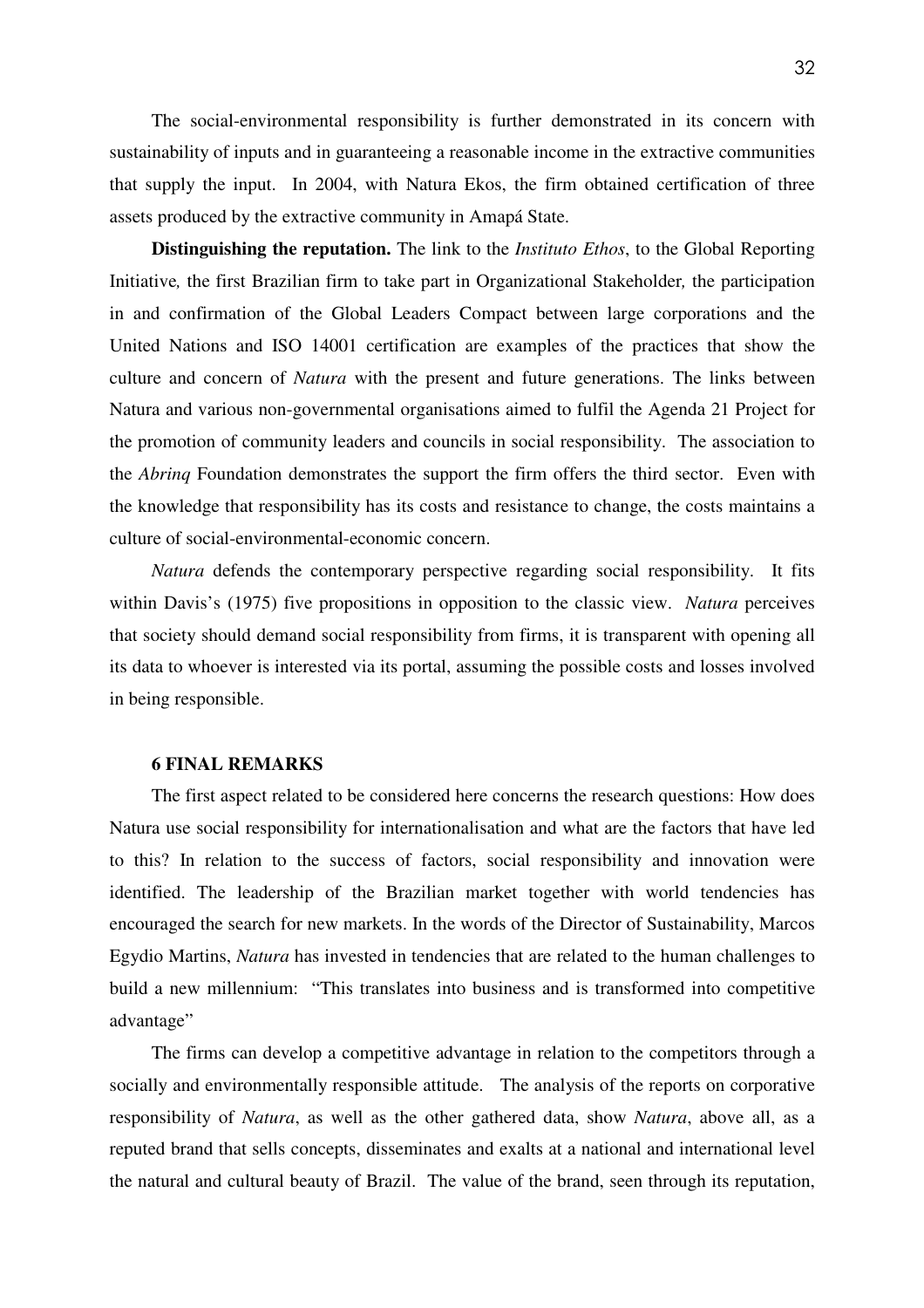The social-environmental responsibility is further demonstrated in its concern with sustainability of inputs and in guaranteeing a reasonable income in the extractive communities that supply the input. In 2004, with Natura Ekos, the firm obtained certification of three assets produced by the extractive community in Amapá State.

**Distinguishing the reputation.** The link to the *Instituto Ethos*, to the Global Reporting Initiative*,* the first Brazilian firm to take part in Organizational Stakeholder*,* the participation in and confirmation of the Global Leaders Compact between large corporations and the United Nations and ISO 14001 certification are examples of the practices that show the culture and concern of *Natura* with the present and future generations. The links between Natura and various non-governmental organisations aimed to fulfil the Agenda 21 Project for the promotion of community leaders and councils in social responsibility. The association to the *Abrinq* Foundation demonstrates the support the firm offers the third sector. Even with the knowledge that responsibility has its costs and resistance to change, the costs maintains a culture of social-environmental-economic concern.

*Natura* defends the contemporary perspective regarding social responsibility. It fits within Davis's (1975) five propositions in opposition to the classic view. *Natura* perceives that society should demand social responsibility from firms, it is transparent with opening all its data to whoever is interested via its portal, assuming the possible costs and losses involved in being responsible.

## **6 FINAL REMARKS**

The first aspect related to be considered here concerns the research questions: How does Natura use social responsibility for internationalisation and what are the factors that have led to this? In relation to the success of factors, social responsibility and innovation were identified. The leadership of the Brazilian market together with world tendencies has encouraged the search for new markets. In the words of the Director of Sustainability, Marcos Egydio Martins, *Natura* has invested in tendencies that are related to the human challenges to build a new millennium: "This translates into business and is transformed into competitive advantage"

The firms can develop a competitive advantage in relation to the competitors through a socially and environmentally responsible attitude. The analysis of the reports on corporative responsibility of *Natura*, as well as the other gathered data, show *Natura*, above all, as a reputed brand that sells concepts, disseminates and exalts at a national and international level the natural and cultural beauty of Brazil. The value of the brand, seen through its reputation,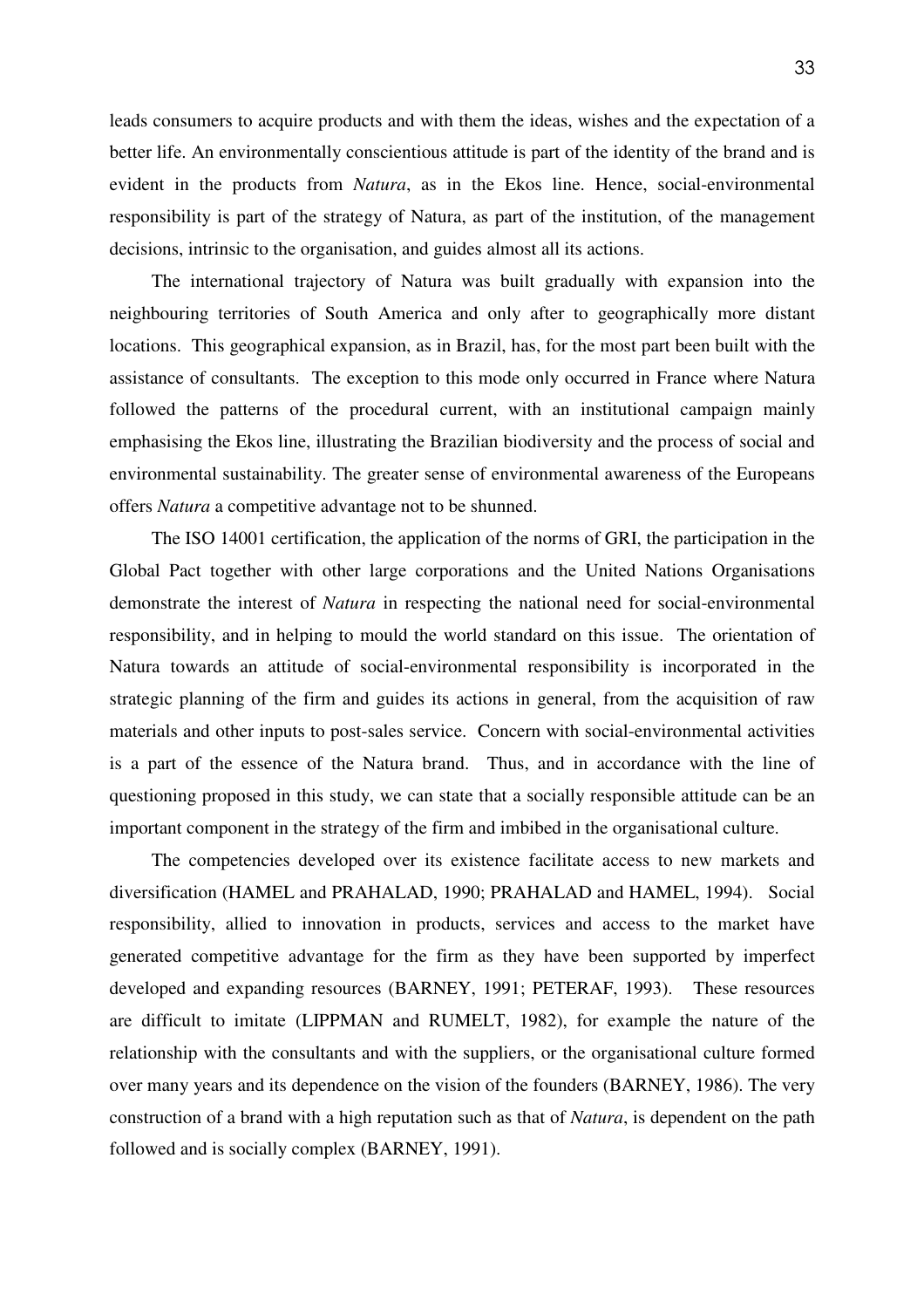leads consumers to acquire products and with them the ideas, wishes and the expectation of a better life. An environmentally conscientious attitude is part of the identity of the brand and is evident in the products from *Natura*, as in the Ekos line. Hence, social-environmental responsibility is part of the strategy of Natura, as part of the institution, of the management decisions, intrinsic to the organisation, and guides almost all its actions.

The international trajectory of Natura was built gradually with expansion into the neighbouring territories of South America and only after to geographically more distant locations. This geographical expansion, as in Brazil, has, for the most part been built with the assistance of consultants. The exception to this mode only occurred in France where Natura followed the patterns of the procedural current, with an institutional campaign mainly emphasising the Ekos line, illustrating the Brazilian biodiversity and the process of social and environmental sustainability. The greater sense of environmental awareness of the Europeans offers *Natura* a competitive advantage not to be shunned.

The ISO 14001 certification, the application of the norms of GRI, the participation in the Global Pact together with other large corporations and the United Nations Organisations demonstrate the interest of *Natura* in respecting the national need for social-environmental responsibility, and in helping to mould the world standard on this issue. The orientation of Natura towards an attitude of social-environmental responsibility is incorporated in the strategic planning of the firm and guides its actions in general, from the acquisition of raw materials and other inputs to post-sales service. Concern with social-environmental activities is a part of the essence of the Natura brand. Thus, and in accordance with the line of questioning proposed in this study, we can state that a socially responsible attitude can be an important component in the strategy of the firm and imbibed in the organisational culture.

The competencies developed over its existence facilitate access to new markets and diversification (HAMEL and PRAHALAD, 1990; PRAHALAD and HAMEL, 1994). Social responsibility, allied to innovation in products, services and access to the market have generated competitive advantage for the firm as they have been supported by imperfect developed and expanding resources (BARNEY, 1991; PETERAF, 1993). These resources are difficult to imitate (LIPPMAN and RUMELT, 1982), for example the nature of the relationship with the consultants and with the suppliers, or the organisational culture formed over many years and its dependence on the vision of the founders (BARNEY, 1986). The very construction of a brand with a high reputation such as that of *Natura*, is dependent on the path followed and is socially complex (BARNEY, 1991).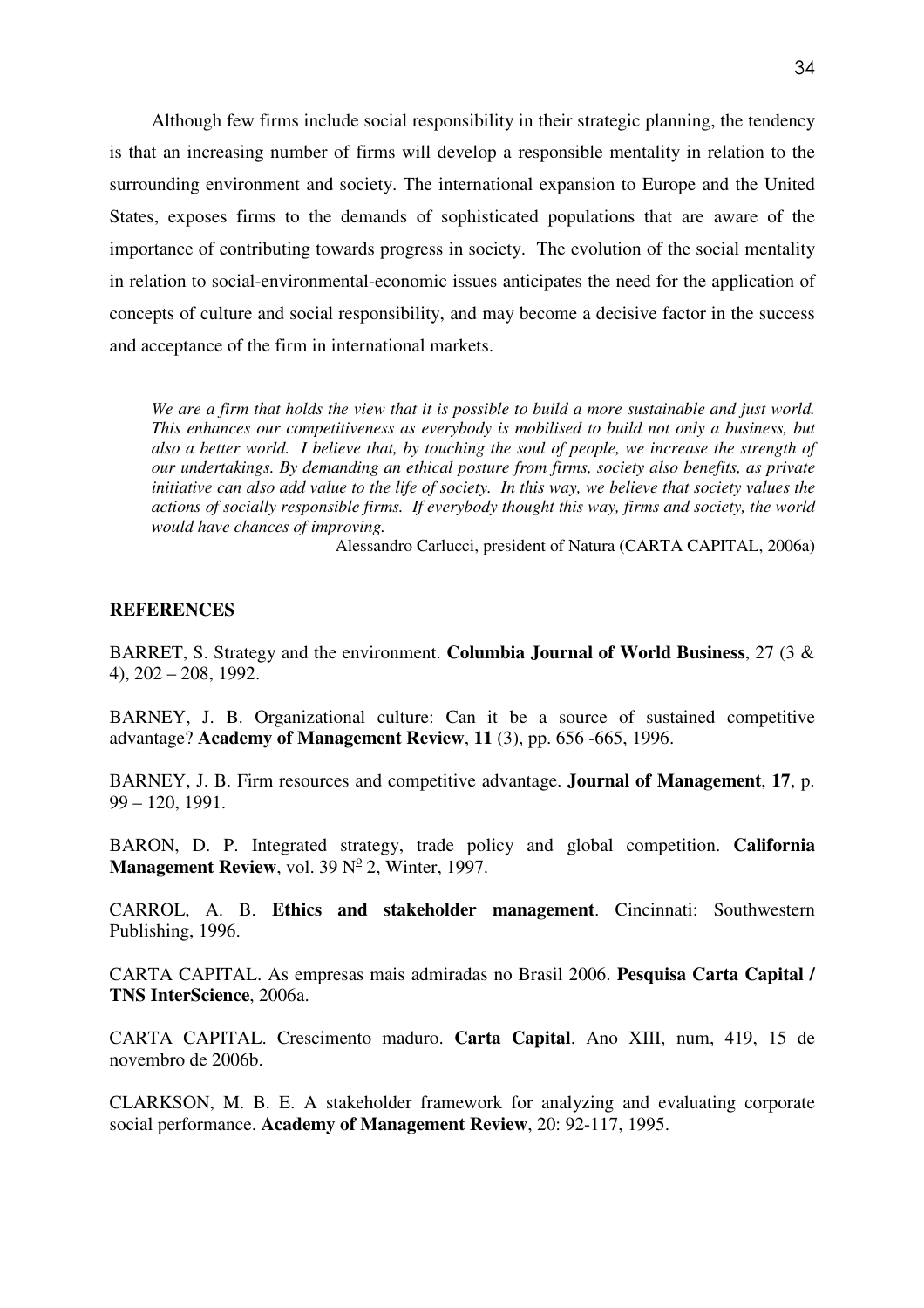Although few firms include social responsibility in their strategic planning, the tendency is that an increasing number of firms will develop a responsible mentality in relation to the surrounding environment and society. The international expansion to Europe and the United States, exposes firms to the demands of sophisticated populations that are aware of the importance of contributing towards progress in society. The evolution of the social mentality in relation to social-environmental-economic issues anticipates the need for the application of concepts of culture and social responsibility, and may become a decisive factor in the success and acceptance of the firm in international markets.

*We are a firm that holds the view that it is possible to build a more sustainable and just world. This enhances our competitiveness as everybody is mobilised to build not only a business, but also a better world. I believe that, by touching the soul of people, we increase the strength of our undertakings. By demanding an ethical posture from firms, society also benefits, as private initiative can also add value to the life of society. In this way, we believe that society values the actions of socially responsible firms. If everybody thought this way, firms and society, the world would have chances of improving.* 

Alessandro Carlucci, president of Natura (CARTA CAPITAL, 2006a)

## **REFERENCES**

BARRET, S. Strategy and the environment. **Columbia Journal of World Business**, 27 (3 & 4), 202 – 208, 1992.

BARNEY, J. B. Organizational culture: Can it be a source of sustained competitive advantage? **Academy of Management Review**, **11** (3), pp. 656 -665, 1996.

BARNEY, J. B. Firm resources and competitive advantage. **Journal of Management**, **17**, p. 99 – 120, 1991.

BARON, D. P. Integrated strategy, trade policy and global competition. **California Management Review**, vol. 39  $N^{\circ}$  2, Winter, 1997.

CARROL, A. B. **Ethics and stakeholder management**. Cincinnati: Southwestern Publishing, 1996.

CARTA CAPITAL. As empresas mais admiradas no Brasil 2006. **Pesquisa Carta Capital / TNS InterScience**, 2006a.

CARTA CAPITAL. Crescimento maduro. **Carta Capital**. Ano XIII, num, 419, 15 de novembro de 2006b.

CLARKSON, M. B. E. A stakeholder framework for analyzing and evaluating corporate social performance. **Academy of Management Review**, 20: 92-117, 1995.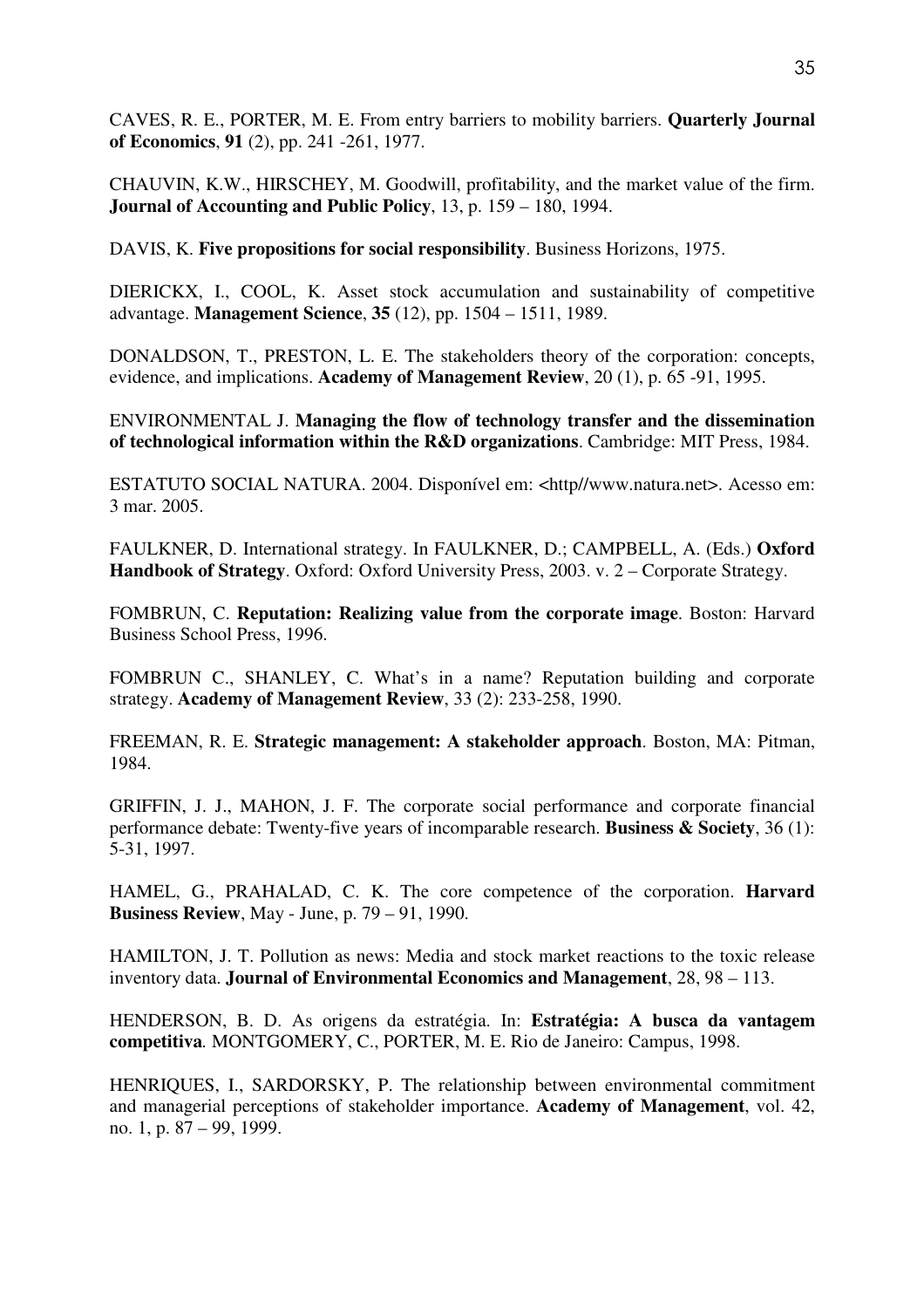CAVES, R. E., PORTER, M. E. From entry barriers to mobility barriers. **Quarterly Journal of Economics**, **91** (2), pp. 241 -261, 1977.

CHAUVIN, K.W., HIRSCHEY, M. Goodwill, profitability, and the market value of the firm. **Journal of Accounting and Public Policy**, 13, p. 159 – 180, 1994.

DAVIS, K. **Five propositions for social responsibility**. Business Horizons, 1975.

DIERICKX, I., COOL, K. Asset stock accumulation and sustainability of competitive advantage. **Management Science**, **35** (12), pp. 1504 – 1511, 1989.

DONALDSON, T., PRESTON, L. E. The stakeholders theory of the corporation: concepts, evidence, and implications. **Academy of Management Review**, 20 (1), p. 65 -91, 1995.

ENVIRONMENTAL J. **Managing the flow of technology transfer and the dissemination of technological information within the R&D organizations**. Cambridge: MIT Press, 1984.

ESTATUTO SOCIAL NATURA. 2004. Disponível em: <http//www.natura.net>. Acesso em: 3 mar. 2005.

FAULKNER, D. International strategy. In FAULKNER, D.; CAMPBELL, A. (Eds.) **Oxford Handbook of Strategy**. Oxford: Oxford University Press, 2003. v. 2 – Corporate Strategy.

FOMBRUN, C. **Reputation: Realizing value from the corporate image**. Boston: Harvard Business School Press, 1996.

FOMBRUN C., SHANLEY, C. What's in a name? Reputation building and corporate strategy. **Academy of Management Review**, 33 (2): 233-258, 1990.

FREEMAN, R. E. **Strategic management: A stakeholder approach**. Boston, MA: Pitman, 1984.

GRIFFIN, J. J., MAHON, J. F. The corporate social performance and corporate financial performance debate: Twenty-five years of incomparable research. **Business & Society**, 36 (1): 5-31, 1997.

HAMEL, G., PRAHALAD, C. K. The core competence of the corporation. **Harvard Business Review**, May - June, p. 79 – 91, 1990.

HAMILTON, J. T. Pollution as news: Media and stock market reactions to the toxic release inventory data. **Journal of Environmental Economics and Management**, 28, 98 – 113.

HENDERSON, B. D. As origens da estratégia. In: **Estratégia: A busca da vantagem competitiva***.* MONTGOMERY, C., PORTER, M. E. Rio de Janeiro: Campus, 1998.

HENRIQUES, I., SARDORSKY, P. The relationship between environmental commitment and managerial perceptions of stakeholder importance. **Academy of Management**, vol. 42, no. 1, p. 87 – 99, 1999.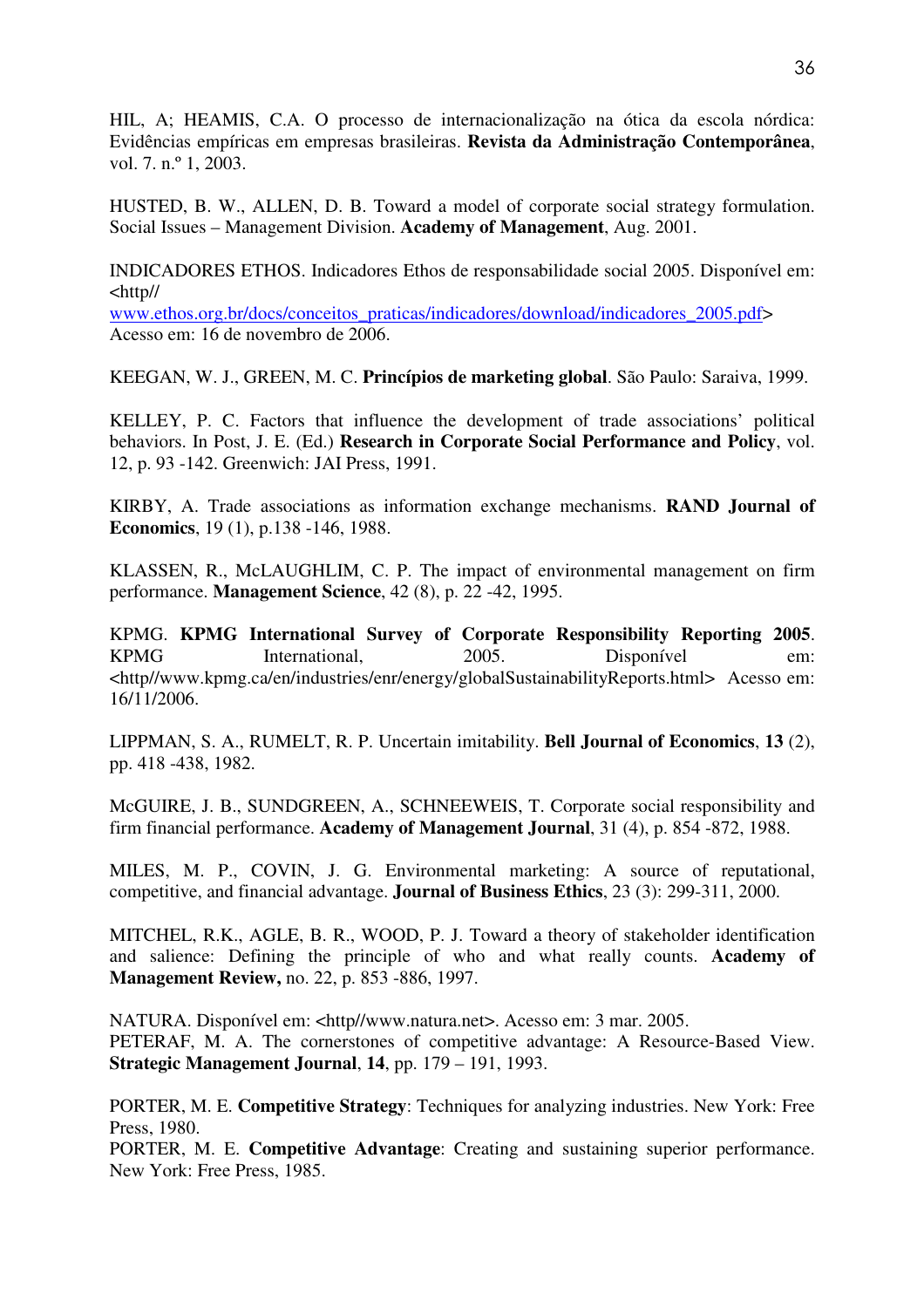HIL, A; HEAMIS, C.A. O processo de internacionalização na ótica da escola nórdica: Evidências empíricas em empresas brasileiras. **Revista da Administração Contemporânea**, vol. 7. n.º 1, 2003.

HUSTED, B. W., ALLEN, D. B. Toward a model of corporate social strategy formulation. Social Issues – Management Division. **Academy of Management**, Aug. 2001.

INDICADORES ETHOS. Indicadores Ethos de responsabilidade social 2005. Disponível em: <http//

www.ethos.org.br/docs/conceitos\_praticas/indicadores/download/indicadores\_2005.pdf> Acesso em: 16 de novembro de 2006.

KEEGAN, W. J., GREEN, M. C. **Princípios de marketing global**. São Paulo: Saraiva, 1999.

KELLEY, P. C. Factors that influence the development of trade associations' political behaviors. In Post, J. E. (Ed.) **Research in Corporate Social Performance and Policy**, vol. 12, p. 93 -142. Greenwich: JAI Press, 1991.

KIRBY, A. Trade associations as information exchange mechanisms. **RAND Journal of Economics**, 19 (1), p.138 -146, 1988.

KLASSEN, R., McLAUGHLIM, C. P. The impact of environmental management on firm performance. **Management Science**, 42 (8), p. 22 -42, 1995.

KPMG. **KPMG International Survey of Corporate Responsibility Reporting 2005**. KPMG International, 2005. Disponível em: <http//www.kpmg.ca/en/industries/enr/energy/globalSustainabilityReports.html> Acesso em: 16/11/2006.

LIPPMAN, S. A., RUMELT, R. P. Uncertain imitability. **Bell Journal of Economics**, **13** (2), pp. 418 -438, 1982.

McGUIRE, J. B., SUNDGREEN, A., SCHNEEWEIS, T. Corporate social responsibility and firm financial performance. **Academy of Management Journal**, 31 (4), p. 854 -872, 1988.

MILES, M. P., COVIN, J. G. Environmental marketing: A source of reputational, competitive, and financial advantage. **Journal of Business Ethics**, 23 (3): 299-311, 2000.

MITCHEL, R.K., AGLE, B. R., WOOD, P. J. Toward a theory of stakeholder identification and salience: Defining the principle of who and what really counts. **Academy of Management Review,** no. 22, p. 853 -886, 1997.

NATURA. Disponível em: <http//www.natura.net>. Acesso em: 3 mar. 2005. PETERAF, M. A. The cornerstones of competitive advantage: A Resource-Based View. **Strategic Management Journal**, **14**, pp. 179 – 191, 1993.

PORTER, M. E. **Competitive Strategy**: Techniques for analyzing industries. New York: Free Press, 1980.

PORTER, M. E. **Competitive Advantage**: Creating and sustaining superior performance. New York: Free Press, 1985.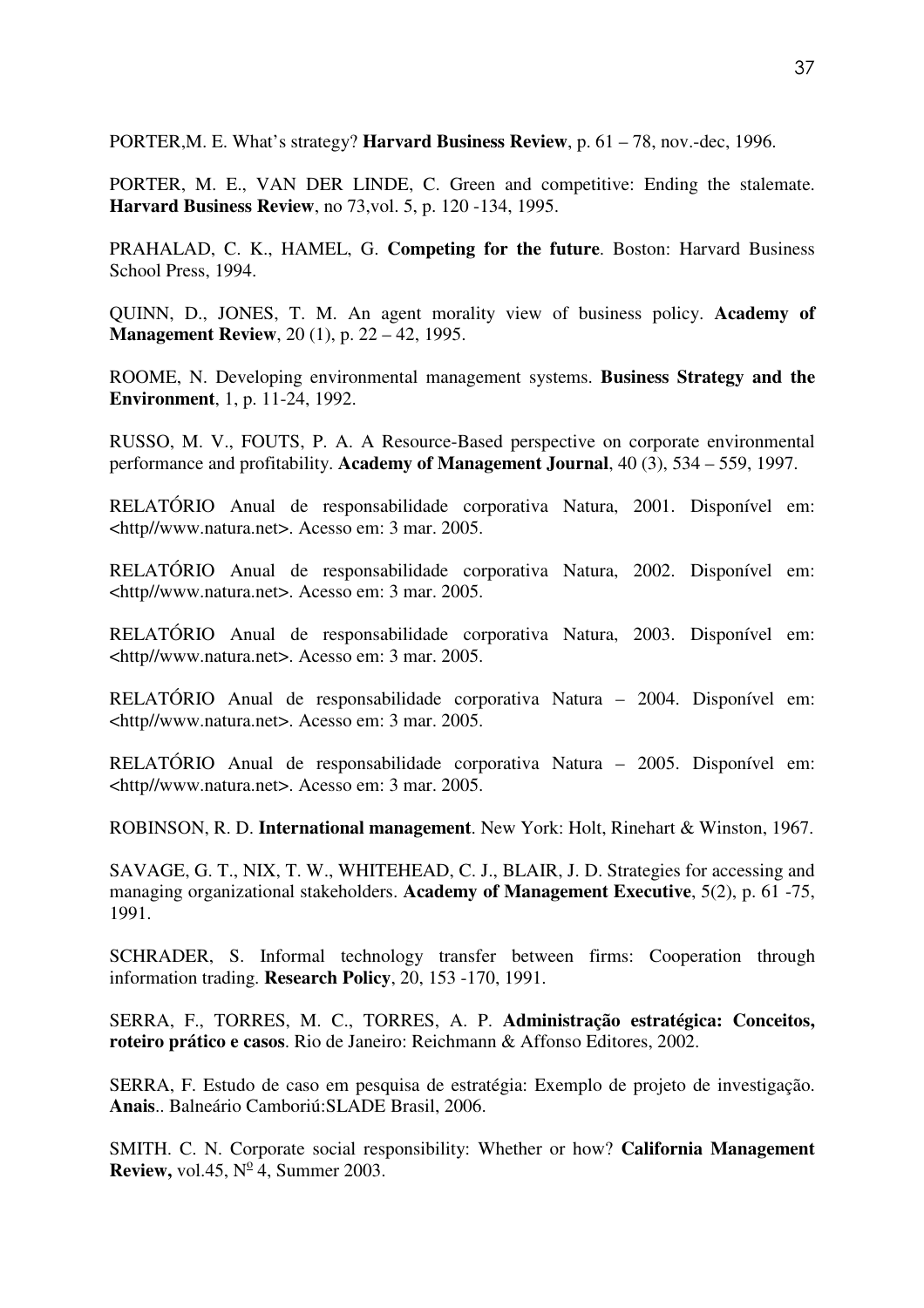PORTER,M. E. What's strategy? **Harvard Business Review**, p. 61 – 78, nov.-dec, 1996.

PORTER, M. E., VAN DER LINDE, C. Green and competitive: Ending the stalemate. **Harvard Business Review**, no 73,vol. 5, p. 120 -134, 1995.

PRAHALAD, C. K., HAMEL, G. **Competing for the future**. Boston: Harvard Business School Press, 1994.

QUINN, D., JONES, T. M. An agent morality view of business policy. **Academy of Management Review**, 20 (1), p. 22 – 42, 1995.

ROOME, N. Developing environmental management systems. **Business Strategy and the Environment**, 1, p. 11-24, 1992.

RUSSO, M. V., FOUTS, P. A. A Resource-Based perspective on corporate environmental performance and profitability. **Academy of Management Journal**, 40 (3), 534 – 559, 1997.

RELATÓRIO Anual de responsabilidade corporativa Natura, 2001. Disponível em: <http//www.natura.net>. Acesso em: 3 mar. 2005.

RELATÓRIO Anual de responsabilidade corporativa Natura, 2002. Disponível em: <http//www.natura.net>. Acesso em: 3 mar. 2005.

RELATÓRIO Anual de responsabilidade corporativa Natura, 2003. Disponível em: <http//www.natura.net>. Acesso em: 3 mar. 2005.

RELATÓRIO Anual de responsabilidade corporativa Natura – 2004. Disponível em: <http//www.natura.net>. Acesso em: 3 mar. 2005.

RELATÓRIO Anual de responsabilidade corporativa Natura – 2005. Disponível em: <http//www.natura.net>. Acesso em: 3 mar. 2005.

ROBINSON, R. D. **International management**. New York: Holt, Rinehart & Winston, 1967.

SAVAGE, G. T., NIX, T. W., WHITEHEAD, C. J., BLAIR, J. D. Strategies for accessing and managing organizational stakeholders. **Academy of Management Executive**, 5(2), p. 61 -75, 1991.

SCHRADER, S. Informal technology transfer between firms: Cooperation through information trading. **Research Policy**, 20, 153 -170, 1991.

SERRA, F., TORRES, M. C., TORRES, A. P. **Administração estratégica: Conceitos, roteiro prático e casos**. Rio de Janeiro: Reichmann & Affonso Editores, 2002.

SERRA, F. Estudo de caso em pesquisa de estratégia: Exemplo de projeto de investigação. **Anais**.. Balneário Camboriú:SLADE Brasil, 2006.

SMITH. C. N. Corporate social responsibility: Whether or how? **California Management Review,** vol.45,  $N^{\circ}$ 4, Summer 2003.